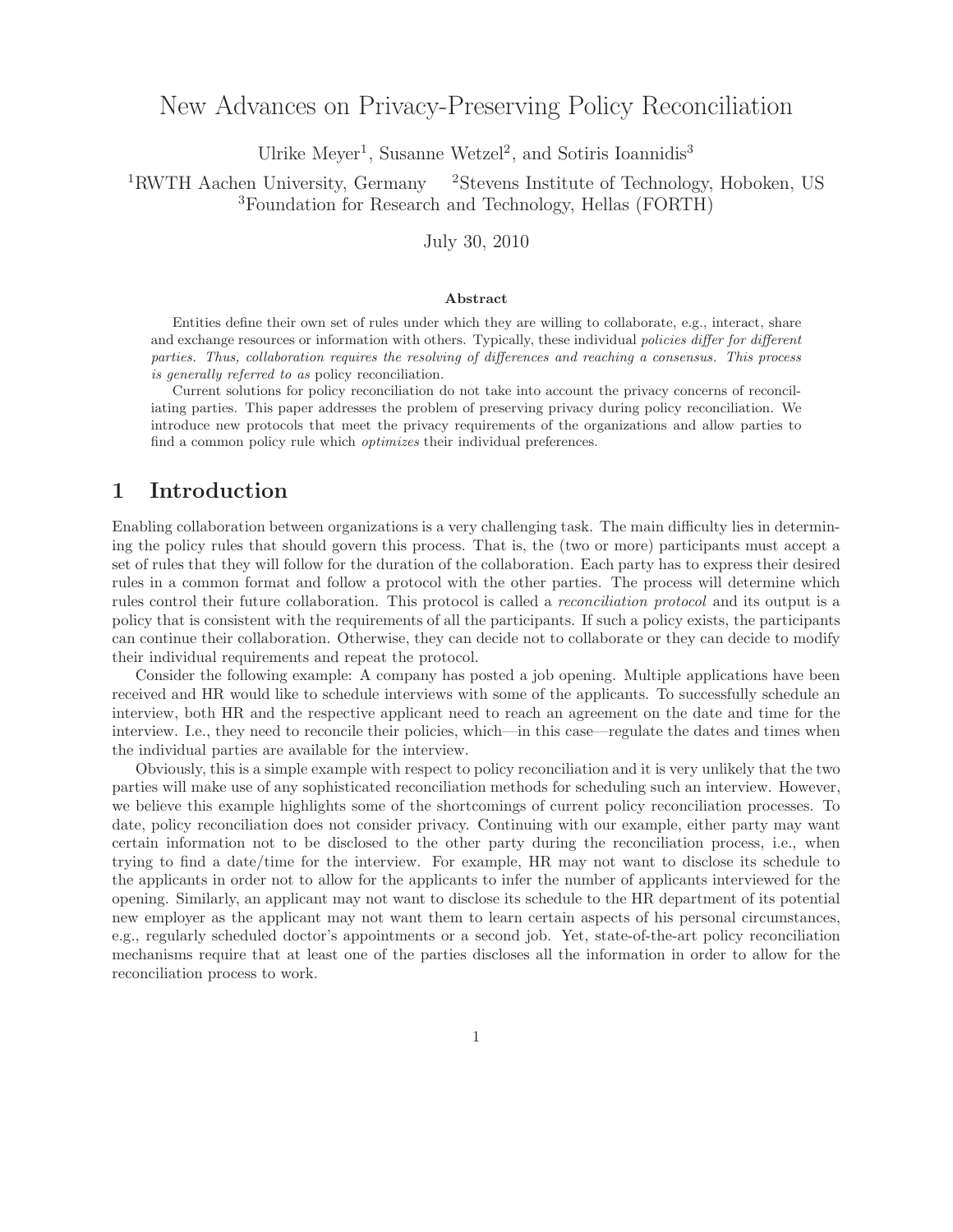# New Advances on Privacy-Preserving Policy Reconciliation

Ulrike Meyer<sup>1</sup>, Susanne Wetzel<sup>2</sup>, and Sotiris Ioannidis<sup>3</sup>

<sup>1</sup>RWTH Aachen University, Germany <sup>2</sup>Stevens Institute of Technology, Hoboken, US <sup>3</sup>Foundation for Research and Technology, Hellas (FORTH)

#### July 30, 2010

#### **Abstract**

Entities define their own set of rules under which they are willing to collaborate, e.g., interact, share and exchange resources or information with others. Typically, these individual policies differ for different parties. Thus, collaboration requires the resolving of differences and reaching a consensus. This process is generally referred to as policy reconciliation.

Current solutions for policy reconciliation do not take into account the privacy concerns of reconciliating parties. This paper addresses the problem of preserving privacy during policy reconciliation. We introduce new protocols that meet the privacy requirements of the organizations and allow parties to find a common policy rule which optimizes their individual preferences.

## **1 Introduction**

Enabling collaboration between organizations is a very challenging task. The main difficulty lies in determining the policy rules that should govern this process. That is, the (two or more) participants must accept a set of rules that they will follow for the duration of the collaboration. Each party has to express their desired rules in a common format and follow a protocol with the other parties. The process will determine which rules control their future collaboration. This protocol is called a *reconciliation protocol* and its output is a policy that is consistent with the requirements of all the participants. If such a policy exists, the participants can continue their collaboration. Otherwise, they can decide not to collaborate or they can decide to modify their individual requirements and repeat the protocol.

Consider the following example: A company has posted a job opening. Multiple applications have been received and HR would like to schedule interviews with some of the applicants. To successfully schedule an interview, both HR and the respective applicant need to reach an agreement on the date and time for the interview. I.e., they need to reconcile their policies, which—in this case—regulate the dates and times when the individual parties are available for the interview.

Obviously, this is a simple example with respect to policy reconciliation and it is very unlikely that the two parties will make use of any sophisticated reconciliation methods for scheduling such an interview. However, we believe this example highlights some of the shortcomings of current policy reconciliation processes. To date, policy reconciliation does not consider privacy. Continuing with our example, either party may want certain information not to be disclosed to the other party during the reconciliation process, i.e., when trying to find a date/time for the interview. For example, HR may not want to disclose its schedule to the applicants in order not to allow for the applicants to infer the number of applicants interviewed for the opening. Similarly, an applicant may not want to disclose its schedule to the HR department of its potential new employer as the applicant may not want them to learn certain aspects of his personal circumstances, e.g., regularly scheduled doctor's appointments or a second job. Yet, state-of-the-art policy reconciliation mechanisms require that at least one of the parties discloses all the information in order to allow for the reconciliation process to work.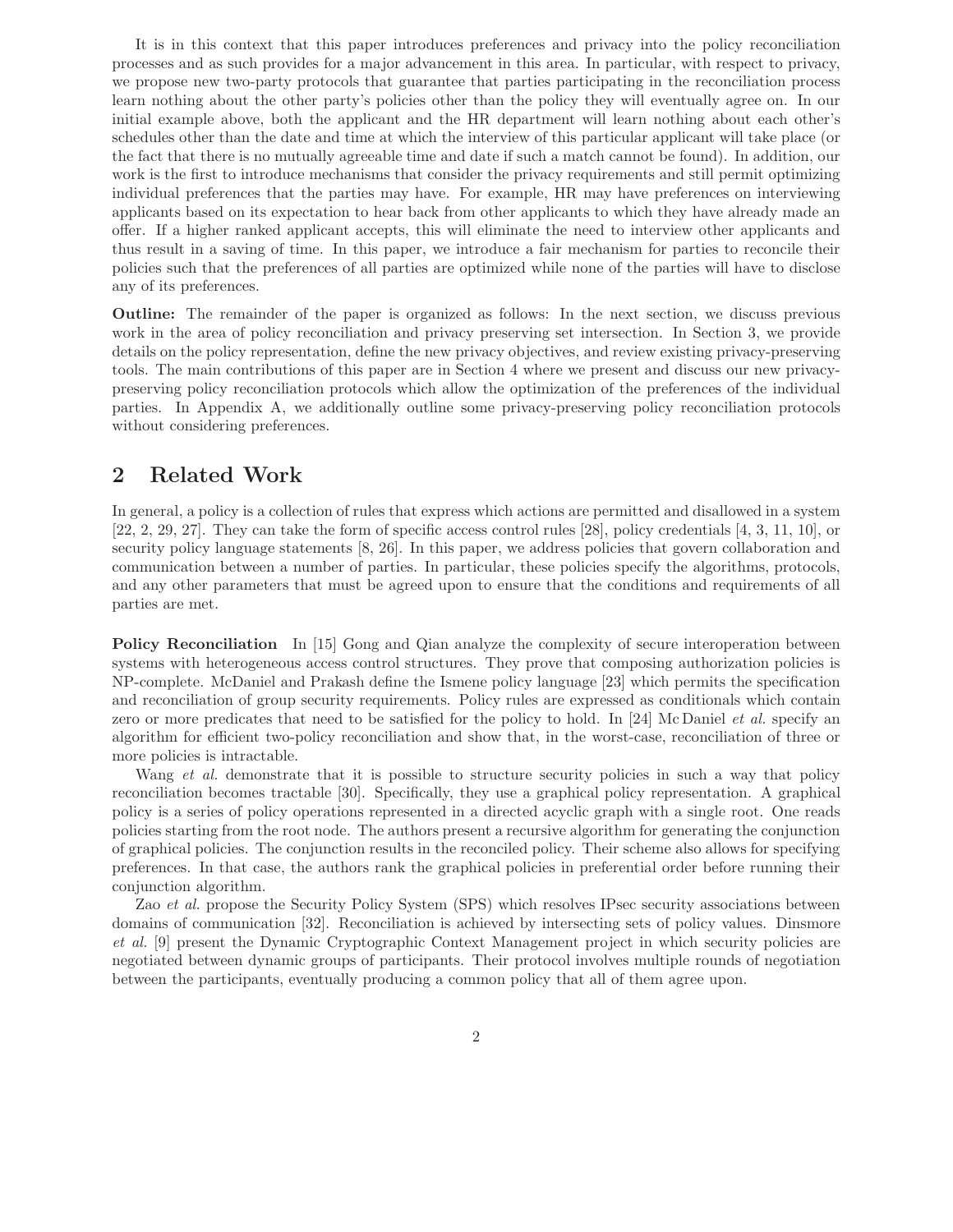It is in this context that this paper introduces preferences and privacy into the policy reconciliation processes and as such provides for a major advancement in this area. In particular, with respect to privacy, we propose new two-party protocols that guarantee that parties participating in the reconciliation process learn nothing about the other party's policies other than the policy they will eventually agree on. In our initial example above, both the applicant and the HR department will learn nothing about each other's schedules other than the date and time at which the interview of this particular applicant will take place (or the fact that there is no mutually agreeable time and date if such a match cannot be found). In addition, our work is the first to introduce mechanisms that consider the privacy requirements and still permit optimizing individual preferences that the parties may have. For example, HR may have preferences on interviewing applicants based on its expectation to hear back from other applicants to which they have already made an offer. If a higher ranked applicant accepts, this will eliminate the need to interview other applicants and thus result in a saving of time. In this paper, we introduce a fair mechanism for parties to reconcile their policies such that the preferences of all parties are optimized while none of the parties will have to disclose any of its preferences.

**Outline:** The remainder of the paper is organized as follows: In the next section, we discuss previous work in the area of policy reconciliation and privacy preserving set intersection. In Section 3, we provide details on the policy representation, define the new privacy objectives, and review existing privacy-preserving tools. The main contributions of this paper are in Section 4 where we present and discuss our new privacypreserving policy reconciliation protocols which allow the optimization of the preferences of the individual parties. In Appendix A, we additionally outline some privacy-preserving policy reconciliation protocols without considering preferences.

## **2 Related Work**

In general, a policy is a collection of rules that express which actions are permitted and disallowed in a system [22, 2, 29, 27]. They can take the form of specific access control rules [28], policy credentials [4, 3, 11, 10], or security policy language statements [8, 26]. In this paper, we address policies that govern collaboration and communication between a number of parties. In particular, these policies specify the algorithms, protocols, and any other parameters that must be agreed upon to ensure that the conditions and requirements of all parties are met.

**Policy Reconciliation** In [15] Gong and Qian analyze the complexity of secure interoperation between systems with heterogeneous access control structures. They prove that composing authorization policies is NP-complete. McDaniel and Prakash define the Ismene policy language [23] which permits the specification and reconciliation of group security requirements. Policy rules are expressed as conditionals which contain zero or more predicates that need to be satisfied for the policy to hold. In [24] Mc Daniel *et al.* specify an algorithm for efficient two-policy reconciliation and show that, in the worst-case, reconciliation of three or more policies is intractable.

Wang *et al.* demonstrate that it is possible to structure security policies in such a way that policy reconciliation becomes tractable [30]. Specifically, they use a graphical policy representation. A graphical policy is a series of policy operations represented in a directed acyclic graph with a single root. One reads policies starting from the root node. The authors present a recursive algorithm for generating the conjunction of graphical policies. The conjunction results in the reconciled policy. Their scheme also allows for specifying preferences. In that case, the authors rank the graphical policies in preferential order before running their conjunction algorithm.

Zao *et al.* propose the Security Policy System (SPS) which resolves IPsec security associations between domains of communication [32]. Reconciliation is achieved by intersecting sets of policy values. Dinsmore *et al.* [9] present the Dynamic Cryptographic Context Management project in which security policies are negotiated between dynamic groups of participants. Their protocol involves multiple rounds of negotiation between the participants, eventually producing a common policy that all of them agree upon.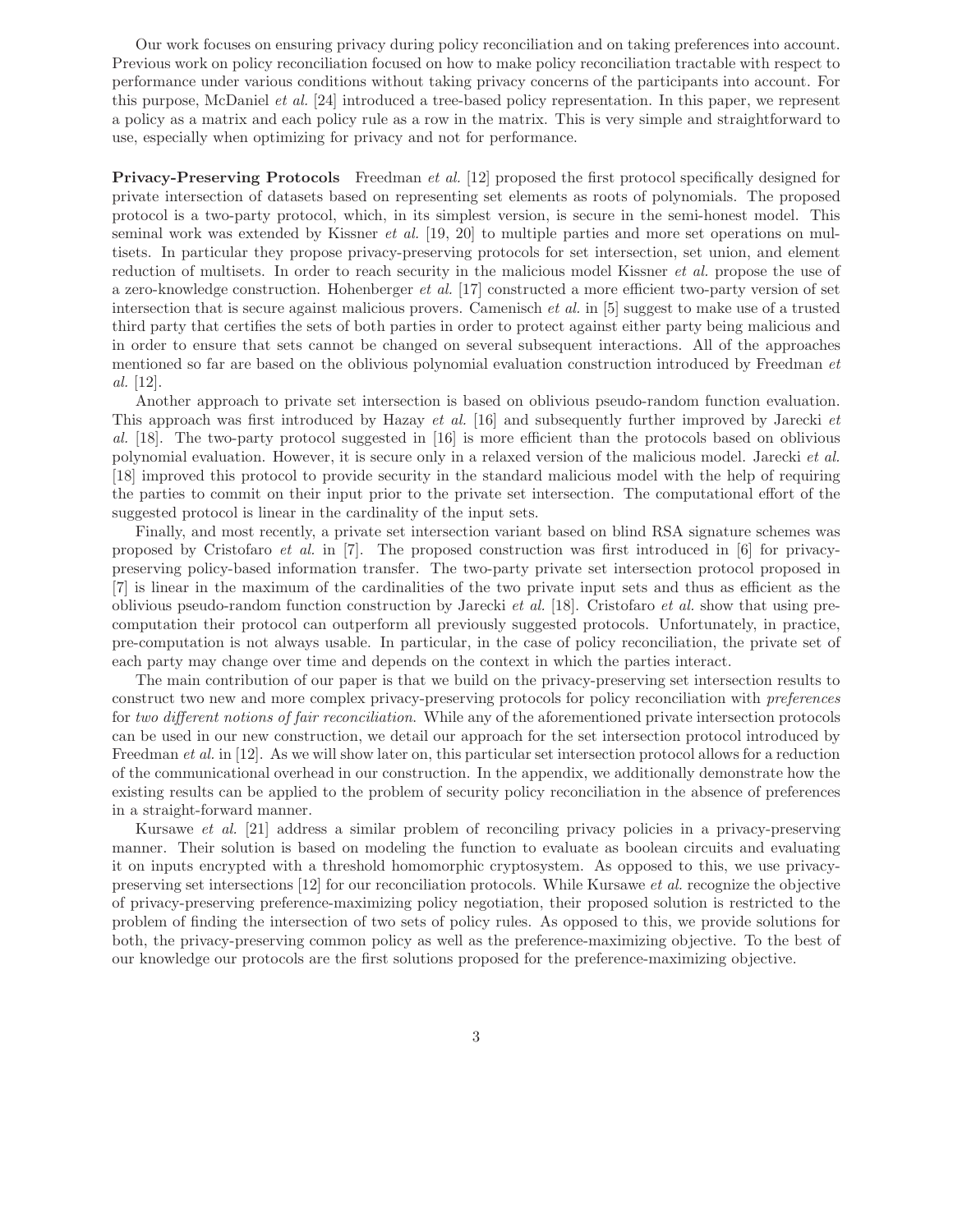Our work focuses on ensuring privacy during policy reconciliation and on taking preferences into account. Previous work on policy reconciliation focused on how to make policy reconciliation tractable with respect to performance under various conditions without taking privacy concerns of the participants into account. For this purpose, McDaniel *et al.* [24] introduced a tree-based policy representation. In this paper, we represent a policy as a matrix and each policy rule as a row in the matrix. This is very simple and straightforward to use, especially when optimizing for privacy and not for performance.

**Privacy-Preserving Protocols** Freedman *et al.* [12] proposed the first protocol specifically designed for private intersection of datasets based on representing set elements as roots of polynomials. The proposed protocol is a two-party protocol, which, in its simplest version, is secure in the semi-honest model. This seminal work was extended by Kissner *et al.* [19, 20] to multiple parties and more set operations on multisets. In particular they propose privacy-preserving protocols for set intersection, set union, and element reduction of multisets. In order to reach security in the malicious model Kissner *et al.* propose the use of a zero-knowledge construction. Hohenberger *et al.* [17] constructed a more efficient two-party version of set intersection that is secure against malicious provers. Camenisch *et al.* in [5] suggest to make use of a trusted third party that certifies the sets of both parties in order to protect against either party being malicious and in order to ensure that sets cannot be changed on several subsequent interactions. All of the approaches mentioned so far are based on the oblivious polynomial evaluation construction introduced by Freedman *et al.* [12].

Another approach to private set intersection is based on oblivious pseudo-random function evaluation. This approach was first introduced by Hazay *et al.* [16] and subsequently further improved by Jarecki *et al.* [18]. The two-party protocol suggested in [16] is more efficient than the protocols based on oblivious polynomial evaluation. However, it is secure only in a relaxed version of the malicious model. Jarecki *et al.* [18] improved this protocol to provide security in the standard malicious model with the help of requiring the parties to commit on their input prior to the private set intersection. The computational effort of the suggested protocol is linear in the cardinality of the input sets.

Finally, and most recently, a private set intersection variant based on blind RSA signature schemes was proposed by Cristofaro *et al.* in [7]. The proposed construction was first introduced in [6] for privacypreserving policy-based information transfer. The two-party private set intersection protocol proposed in [7] is linear in the maximum of the cardinalities of the two private input sets and thus as efficient as the oblivious pseudo-random function construction by Jarecki *et al.* [18]. Cristofaro *et al.* show that using precomputation their protocol can outperform all previously suggested protocols. Unfortunately, in practice, pre-computation is not always usable. In particular, in the case of policy reconciliation, the private set of each party may change over time and depends on the context in which the parties interact.

The main contribution of our paper is that we build on the privacy-preserving set intersection results to construct two new and more complex privacy-preserving protocols for policy reconciliation with *preferences* for *two different notions of fair reconciliation*. While any of the aforementioned private intersection protocols can be used in our new construction, we detail our approach for the set intersection protocol introduced by Freedman *et al.* in [12]. As we will show later on, this particular set intersection protocol allows for a reduction of the communicational overhead in our construction. In the appendix, we additionally demonstrate how the existing results can be applied to the problem of security policy reconciliation in the absence of preferences in a straight-forward manner.

Kursawe *et al.* [21] address a similar problem of reconciling privacy policies in a privacy-preserving manner. Their solution is based on modeling the function to evaluate as boolean circuits and evaluating it on inputs encrypted with a threshold homomorphic cryptosystem. As opposed to this, we use privacypreserving set intersections [12] for our reconciliation protocols. While Kursawe *et al.* recognize the objective of privacy-preserving preference-maximizing policy negotiation, their proposed solution is restricted to the problem of finding the intersection of two sets of policy rules. As opposed to this, we provide solutions for both, the privacy-preserving common policy as well as the preference-maximizing objective. To the best of our knowledge our protocols are the first solutions proposed for the preference-maximizing objective.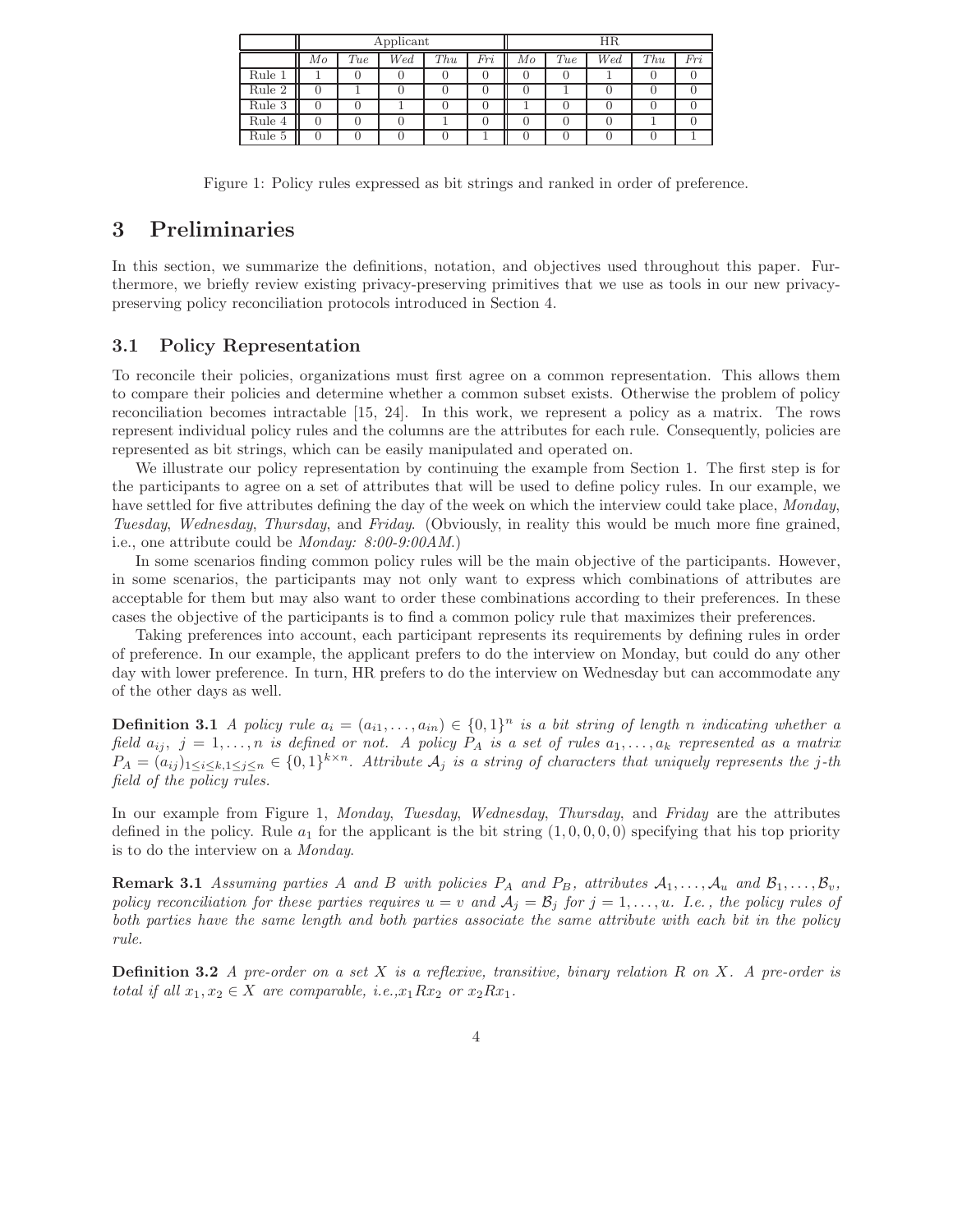|        | Applicant |     |     |     | ΗR  |    |     |     |     |     |
|--------|-----------|-----|-----|-----|-----|----|-----|-----|-----|-----|
|        | Мo        | Tue | Wed | Thu | Fri | Mo | Tue | Wed | Thu | Fri |
| Rule 1 |           |     |     |     |     |    |     |     |     |     |
| Rule 2 |           |     |     |     |     |    |     |     |     |     |
| Rule 3 |           |     |     |     |     |    |     |     |     |     |
| Rule 4 |           |     |     |     |     |    |     |     |     |     |
| Rule 5 |           |     |     |     |     |    |     |     |     |     |

Figure 1: Policy rules expressed as bit strings and ranked in order of preference.

## **3 Preliminaries**

In this section, we summarize the definitions, notation, and objectives used throughout this paper. Furthermore, we briefly review existing privacy-preserving primitives that we use as tools in our new privacypreserving policy reconciliation protocols introduced in Section 4.

#### **3.1 Policy Representation**

To reconcile their policies, organizations must first agree on a common representation. This allows them to compare their policies and determine whether a common subset exists. Otherwise the problem of policy reconciliation becomes intractable [15, 24]. In this work, we represent a policy as a matrix. The rows represent individual policy rules and the columns are the attributes for each rule. Consequently, policies are represented as bit strings, which can be easily manipulated and operated on.

We illustrate our policy representation by continuing the example from Section 1. The first step is for the participants to agree on a set of attributes that will be used to define policy rules. In our example, we have settled for five attributes defining the day of the week on which the interview could take place, *Monday*, *Tuesday*, *Wednesday*, *Thursday*, and *Friday*. (Obviously, in reality this would be much more fine grained, i.e., one attribute could be *Monday: 8:00-9:00AM*.)

In some scenarios finding common policy rules will be the main objective of the participants. However, in some scenarios, the participants may not only want to express which combinations of attributes are acceptable for them but may also want to order these combinations according to their preferences. In these cases the objective of the participants is to find a common policy rule that maximizes their preferences.

Taking preferences into account, each participant represents its requirements by defining rules in order of preference. In our example, the applicant prefers to do the interview on Monday, but could do any other day with lower preference. In turn, HR prefers to do the interview on Wednesday but can accommodate any of the other days as well.

**Definition 3.1** *A policy rule*  $a_i = (a_{i1}, \ldots, a_{in}) \in \{0, 1\}^n$  *is a bit string of length n indicating whether a field*  $a_{ij}$ ,  $j = 1, \ldots, n$  *is defined or not.* A policy  $P_A$  *is a set of rules*  $a_1, \ldots, a_k$  *represented as a matrix*  $P_A = (a_{ij})_{1 \leq i \leq k, 1 \leq j \leq n} \in \{0,1\}^{k \times n}$ . Attribute  $A_j$  is a string of characters that uniquely represents the j-th *field of the policy rules.*

In our example from Figure 1, *Monday*, *Tuesday*, *Wednesday*, *Thursday*, and *Friday* are the attributes defined in the policy. Rule  $a_1$  for the applicant is the bit string  $(1, 0, 0, 0, 0)$  specifying that his top priority is to do the interview on a *Monday*.

**Remark 3.1** *Assuming parties* A and B with policies  $P_A$  and  $P_B$ , attributes  $A_1, \ldots, A_u$  and  $B_1, \ldots, B_v$ , *policy reconciliation for these parties requires*  $u = v$  *and*  $\mathcal{A}_j = \mathcal{B}_j$  *for*  $j = 1, \ldots, u$ *. I.e., the policy rules of both parties have the same length and both parties associate the same attribute with each bit in the policy rule.*

**Definition 3.2** *A pre-order on a set* X *is a reflexive, transitive, binary relation* R *on* X*. A pre-order is total if all*  $x_1, x_2 \in X$  *are comparable, i.e.*, $x_1 R x_2$  *or*  $x_2 R x_1$ *.*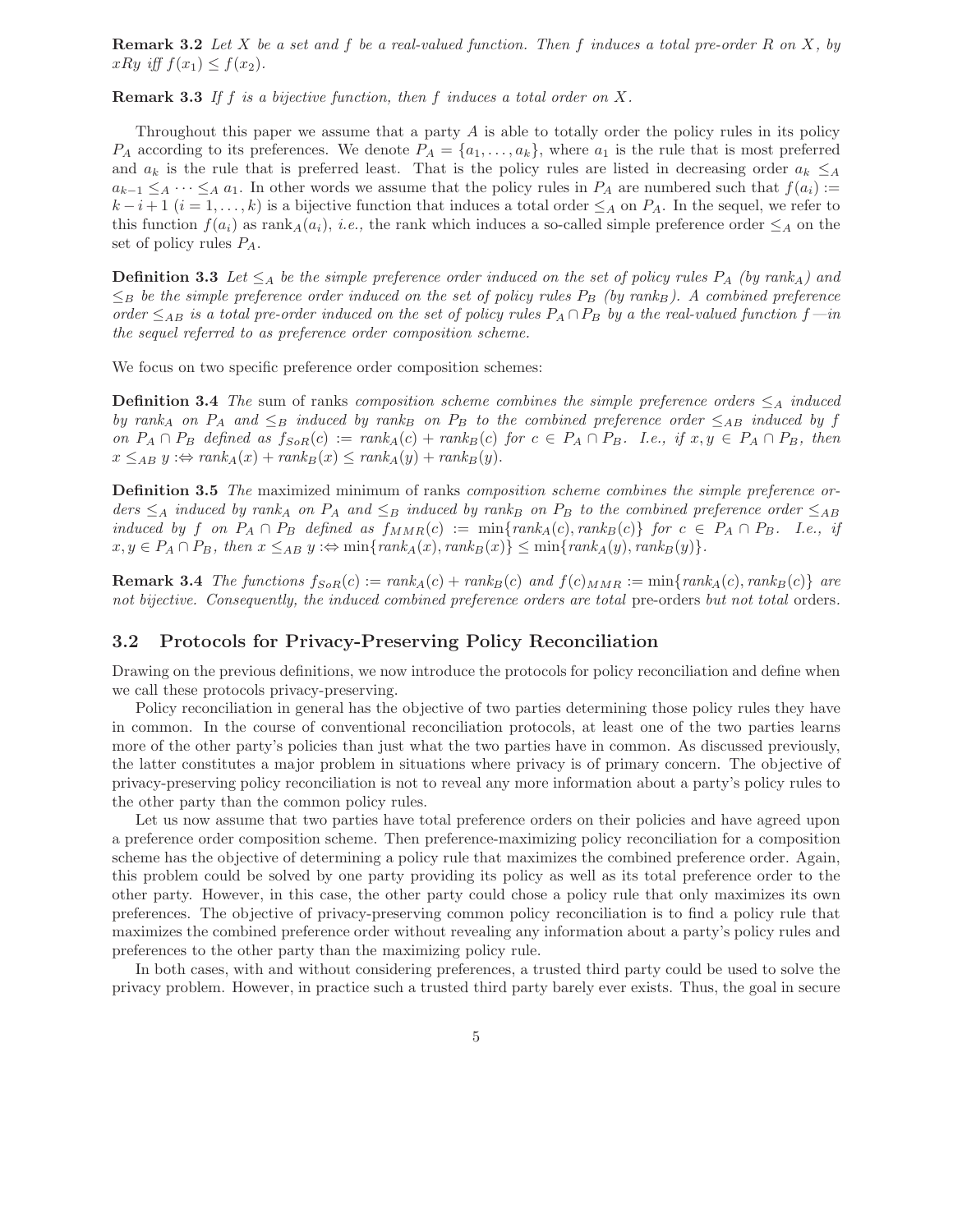**Remark 3.2** *Let* X *be a set and* f *be a real-valued function. Then* f *induces a total pre-order* R *on* X*, by*  $xRy$  *iff*  $f(x_1) \leq f(x_2)$ .

**Remark 3.3** *If* f *is a bijective function, then* f *induces a total order on* X*.*

Throughout this paper we assume that a party  $A$  is able to totally order the policy rules in its policy  $P_A$  according to its preferences. We denote  $P_A = \{a_1, \ldots, a_k\}$ , where  $a_1$  is the rule that is most preferred and  $a_k$  is the rule that is preferred least. That is the policy rules are listed in decreasing order  $a_k \leq_A$  $a_{k-1} \leq_A \cdots \leq_A a_1$ . In other words we assume that the policy rules in  $P_A$  are numbered such that  $f(a_i) :=$  $k-i+1$   $(i = 1, \ldots, k)$  is a bijective function that induces a total order  $\leq_A$  on  $P_A$ . In the sequel, we refer to this function  $f(a_i)$  as rank<sub>*A*</sub> $(a_i)$ , *i.e.*, the rank which induces a so-called simple preference order  $\leq_A$  on the set of policy rules P*A*.

**Definition 3.3** Let  $\leq_A$  be the simple preference order induced on the set of policy rules  $P_A$  (by rank<sub>*A*</sub>) and  $\leq_B$  *be the simple preference order induced on the set of policy rules*  $P_B$  (*by rank* $_B$ *). A combined preference order*  $\leq_{AB}$  *is a total pre-order induced on the set of policy rules*  $P_A \cap P_B$  *by a the real-valued function*  $f$ —*in the sequel referred to as preference order composition scheme.*

We focus on two specific preference order composition schemes:

**Definition 3.4** *The* sum of ranks *composition scheme combines the simple preference orders*  $\leq_A$  *induced by rank<sub>A</sub> on*  $P_A$  *and*  $\leq_B$  *induced by rank<sub>B</sub> on*  $P_B$  *to the combined preference order*  $\leq_{AB}$  *induced by* f *on*  $P_A \cap P_B$  *defined as*  $f_{SoR}(c) := rank_A(c) + rank_B(c)$  *for*  $c \in P_A \cap P_B$ *. I.e., if*  $x, y \in P_A \cap P_B$ *, then*  $x \leq_{AB} y : \Leftrightarrow \text{rank}_A(x) + \text{rank}_B(x) \leq \text{rank}_A(y) + \text{rank}_B(y).$ 

**Definition 3.5** *The* maximized minimum of ranks *composition scheme combines the simple preference or* $d$ ers  $\leq_A$  *induced by rank*<sup>A</sup> *on*  $P_A$  *and*  $\leq_B$  *induced by rank<sub>B</sub> on*  $P_B$  *to the combined preference order*  $\leq_{AB}$ *induced by* f on  $P_A \cap P_B$  *defined as*  $f_{MMR}(c) := \min\{rank_A(c), rank_B(c)\}\$  for  $c \in P_A \cap P_B$ *. I.e., if*  $x, y \in P_A \cap P_B$ , then  $x \leq_{AB} y : \Leftrightarrow \min\{rank_A(x), rank_B(x)\} \leq \min\{rank_A(y), rank_B(y)\}.$ 

**Remark 3.4** *The functions*  $f_{SoR}(c) := rank_A(c) + rank_B(c)$  *and*  $f(c)_{MMR} := min\{rank_A(c), rank_B(c)\}$  *are not bijective. Consequently, the induced combined preference orders are total* pre-orders *but not total* orders*.*

#### **3.2 Protocols for Privacy-Preserving Policy Reconciliation**

Drawing on the previous definitions, we now introduce the protocols for policy reconciliation and define when we call these protocols privacy-preserving.

Policy reconciliation in general has the objective of two parties determining those policy rules they have in common. In the course of conventional reconciliation protocols, at least one of the two parties learns more of the other party's policies than just what the two parties have in common. As discussed previously, the latter constitutes a major problem in situations where privacy is of primary concern. The objective of privacy-preserving policy reconciliation is not to reveal any more information about a party's policy rules to the other party than the common policy rules.

Let us now assume that two parties have total preference orders on their policies and have agreed upon a preference order composition scheme. Then preference-maximizing policy reconciliation for a composition scheme has the objective of determining a policy rule that maximizes the combined preference order. Again, this problem could be solved by one party providing its policy as well as its total preference order to the other party. However, in this case, the other party could chose a policy rule that only maximizes its own preferences. The objective of privacy-preserving common policy reconciliation is to find a policy rule that maximizes the combined preference order without revealing any information about a party's policy rules and preferences to the other party than the maximizing policy rule.

In both cases, with and without considering preferences, a trusted third party could be used to solve the privacy problem. However, in practice such a trusted third party barely ever exists. Thus, the goal in secure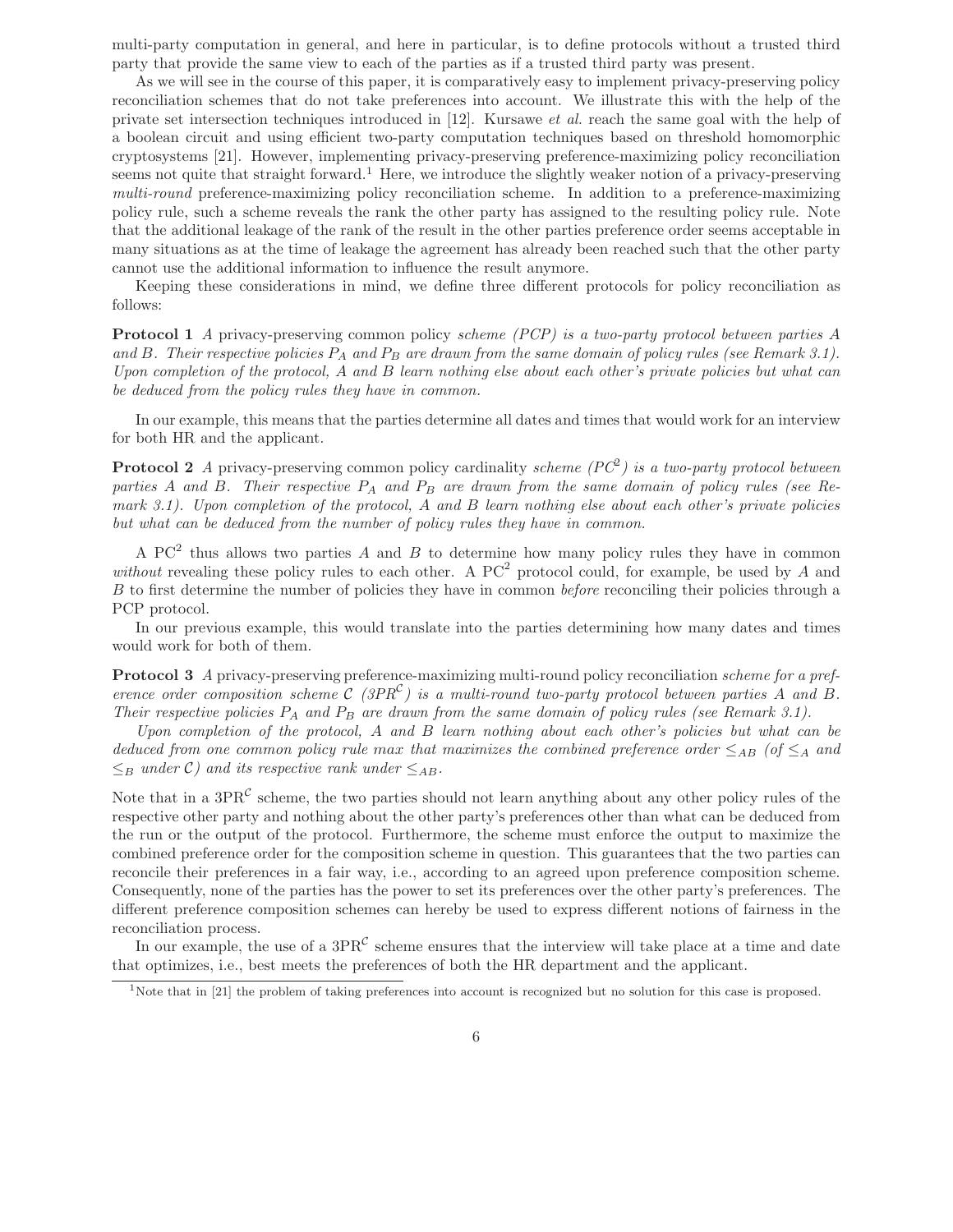multi-party computation in general, and here in particular, is to define protocols without a trusted third party that provide the same view to each of the parties as if a trusted third party was present.

As we will see in the course of this paper, it is comparatively easy to implement privacy-preserving policy reconciliation schemes that do not take preferences into account. We illustrate this with the help of the private set intersection techniques introduced in [12]. Kursawe *et al.* reach the same goal with the help of a boolean circuit and using efficient two-party computation techniques based on threshold homomorphic cryptosystems [21]. However, implementing privacy-preserving preference-maximizing policy reconciliation seems not quite that straight forward.<sup>1</sup> Here, we introduce the slightly weaker notion of a privacy-preserving *multi-round* preference-maximizing policy reconciliation scheme. In addition to a preference-maximizing policy rule, such a scheme reveals the rank the other party has assigned to the resulting policy rule. Note that the additional leakage of the rank of the result in the other parties preference order seems acceptable in many situations as at the time of leakage the agreement has already been reached such that the other party cannot use the additional information to influence the result anymore.

Keeping these considerations in mind, we define three different protocols for policy reconciliation as follows:

**Protocol 1** *A* privacy-preserving common policy *scheme (PCP) is a two-party protocol between parties* A *and* B*. Their respective policies* P*<sup>A</sup> and* P*<sup>B</sup> are drawn from the same domain of policy rules (see Remark 3.1). Upon completion of the protocol,* A *and* B *learn nothing else about each other's private policies but what can be deduced from the policy rules they have in common.*

In our example, this means that the parties determine all dates and times that would work for an interview for both HR and the applicant.

**Protocol 2** *A* privacy-preserving common policy cardinality *scheme (PC*<sup>2</sup>*) is a two-party protocol between parties* A *and* B*. Their respective* P*<sup>A</sup> and* P*<sup>B</sup> are drawn from the same domain of policy rules (see Remark 3.1). Upon completion of the protocol,* A *and* B *learn nothing else about each other's private policies but what can be deduced from the number of policy rules they have in common.*

A PC<sup>2</sup> thus allows two parties A and B to determine how many policy rules they have in common *without* revealing these policy rules to each other. A  $PC^2$  protocol could, for example, be used by A and B to first determine the number of policies they have in common *before* reconciling their policies through a PCP protocol.

In our previous example, this would translate into the parties determining how many dates and times would work for both of them.

**Protocol 3** *A* privacy-preserving preference-maximizing multi-round policy reconciliation *scheme for a preference order composition scheme*  $C$  *(3PR<sup>C</sup>) is a multi-round two-party protocol between parties* A *and* B. *Their respective policies* P*<sup>A</sup> and* P*<sup>B</sup> are drawn from the same domain of policy rules (see Remark 3.1).*

*Upon completion of the protocol,* A *and* B *learn nothing about each other's policies but what can be deduced from one common policy rule max that maximizes the combined preference order*  $\leq_{AB}$  (of  $\leq_A$  and  $\leq_B$  *under* C) and *its respective rank under*  $\leq_{AB}$ *.* 

Note that in a  $3PR^{\mathcal{C}}$  scheme, the two parties should not learn anything about any other policy rules of the respective other party and nothing about the other party's preferences other than what can be deduced from the run or the output of the protocol. Furthermore, the scheme must enforce the output to maximize the combined preference order for the composition scheme in question. This guarantees that the two parties can reconcile their preferences in a fair way, i.e., according to an agreed upon preference composition scheme. Consequently, none of the parties has the power to set its preferences over the other party's preferences. The different preference composition schemes can hereby be used to express different notions of fairness in the reconciliation process.

In our example, the use of a  $3PR^{\mathcal{C}}$  scheme ensures that the interview will take place at a time and date that optimizes, i.e., best meets the preferences of both the HR department and the applicant.

<sup>&</sup>lt;sup>1</sup>Note that in [21] the problem of taking preferences into account is recognized but no solution for this case is proposed.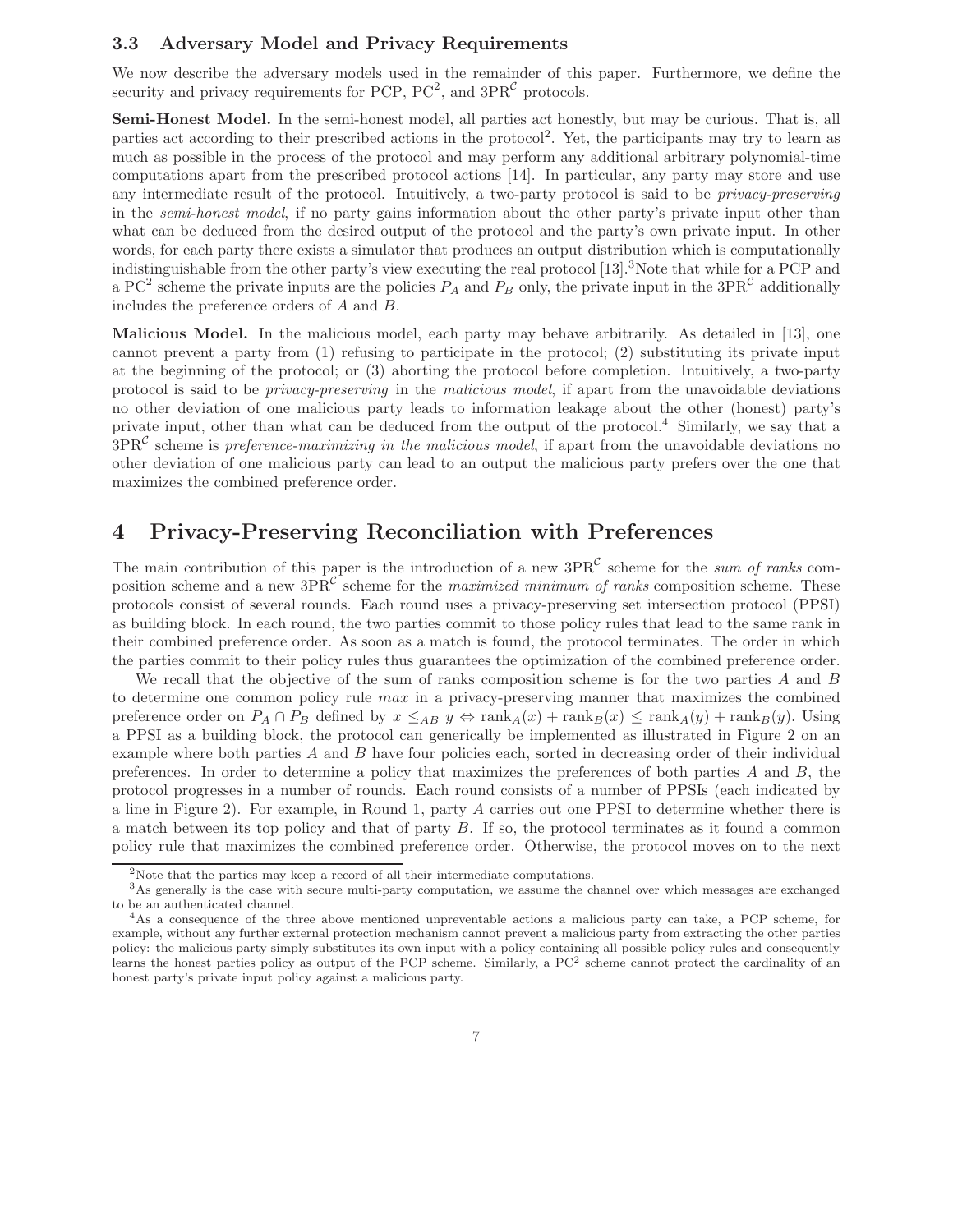#### **3.3 Adversary Model and Privacy Requirements**

We now describe the adversary models used in the remainder of this paper. Furthermore, we define the security and privacy requirements for PCP,  $PC^2$ , and  $3PR^{\mathcal{C}}$  protocols.

Semi-Honest Model. In the semi-honest model, all parties act honestly, but may be curious. That is, all parties act according to their prescribed actions in the protocol2. Yet, the participants may try to learn as much as possible in the process of the protocol and may perform any additional arbitrary polynomial-time computations apart from the prescribed protocol actions [14]. In particular, any party may store and use any intermediate result of the protocol. Intuitively, a two-party protocol is said to be *privacy-preserving* in the *semi-honest model*, if no party gains information about the other party's private input other than what can be deduced from the desired output of the protocol and the party's own private input. In other words, for each party there exists a simulator that produces an output distribution which is computationally indistinguishable from the other party's view executing the real protocol  $[13]$ .<sup>3</sup>Note that while for a PCP and a PC<sup>2</sup> scheme the private inputs are the policies  $P_A$  and  $P_B$  only, the private input in the 3PR<sup>C</sup> additionally includes the preference orders of A and B.

**Malicious Model.** In the malicious model, each party may behave arbitrarily. As detailed in [13], one cannot prevent a party from (1) refusing to participate in the protocol; (2) substituting its private input at the beginning of the protocol; or (3) aborting the protocol before completion. Intuitively, a two-party protocol is said to be *privacy-preserving* in the *malicious model*, if apart from the unavoidable deviations no other deviation of one malicious party leads to information leakage about the other (honest) party's private input, other than what can be deduced from the output of the protocol.<sup>4</sup> Similarly, we say that a 3PR<sup>C</sup> scheme is *preference-maximizing in the malicious model*, if apart from the unavoidable deviations no other deviation of one malicious party can lead to an output the malicious party prefers over the one that maximizes the combined preference order.

## **4 Privacy-Preserving Reconciliation with Preferences**

The main contribution of this paper is the introduction of a new  $3PR^{\mathcal{C}}$  scheme for the *sum of ranks* composition scheme and a new 3PR<sup>C</sup> scheme for the *maximized minimum of ranks* composition scheme. These protocols consist of several rounds. Each round uses a privacy-preserving set intersection protocol (PPSI) as building block. In each round, the two parties commit to those policy rules that lead to the same rank in their combined preference order. As soon as a match is found, the protocol terminates. The order in which the parties commit to their policy rules thus guarantees the optimization of the combined preference order.

We recall that the objective of the sum of ranks composition scheme is for the two parties  $A$  and  $B$ to determine one common policy rule *max* in a privacy-preserving manner that maximizes the combined preference order on  $P_A \cap P_B$  defined by  $x \leq_{AB} y \Leftrightarrow \text{rank}_A(x) + \text{rank}_B(x) \leq \text{rank}_A(y) + \text{rank}_B(y)$ . Using a PPSI as a building block, the protocol can generically be implemented as illustrated in Figure 2 on an example where both parties  $A$  and  $B$  have four policies each, sorted in decreasing order of their individual preferences. In order to determine a policy that maximizes the preferences of both parties  $A$  and  $B$ , the protocol progresses in a number of rounds. Each round consists of a number of PPSIs (each indicated by a line in Figure 2). For example, in Round 1, party A carries out one PPSI to determine whether there is a match between its top policy and that of party B. If so, the protocol terminates as it found a common policy rule that maximizes the combined preference order. Otherwise, the protocol moves on to the next

<sup>&</sup>lt;sup>2</sup>Note that the parties may keep a record of all their intermediate computations.

<sup>&</sup>lt;sup>3</sup>As generally is the case with secure multi-party computation, we assume the channel over which messages are exchanged to be an authenticated channel.

<sup>4</sup>As a consequence of the three above mentioned unpreventable actions a malicious party can take, a PCP scheme, for example, without any further external protection mechanism cannot prevent a malicious party from extracting the other parties policy: the malicious party simply substitutes its own input with a policy containing all possible policy rules and consequently learns the honest parties policy as output of the PCP scheme. Similarly, a  $PC<sup>2</sup>$  scheme cannot protect the cardinality of an honest party's private input policy against a malicious party.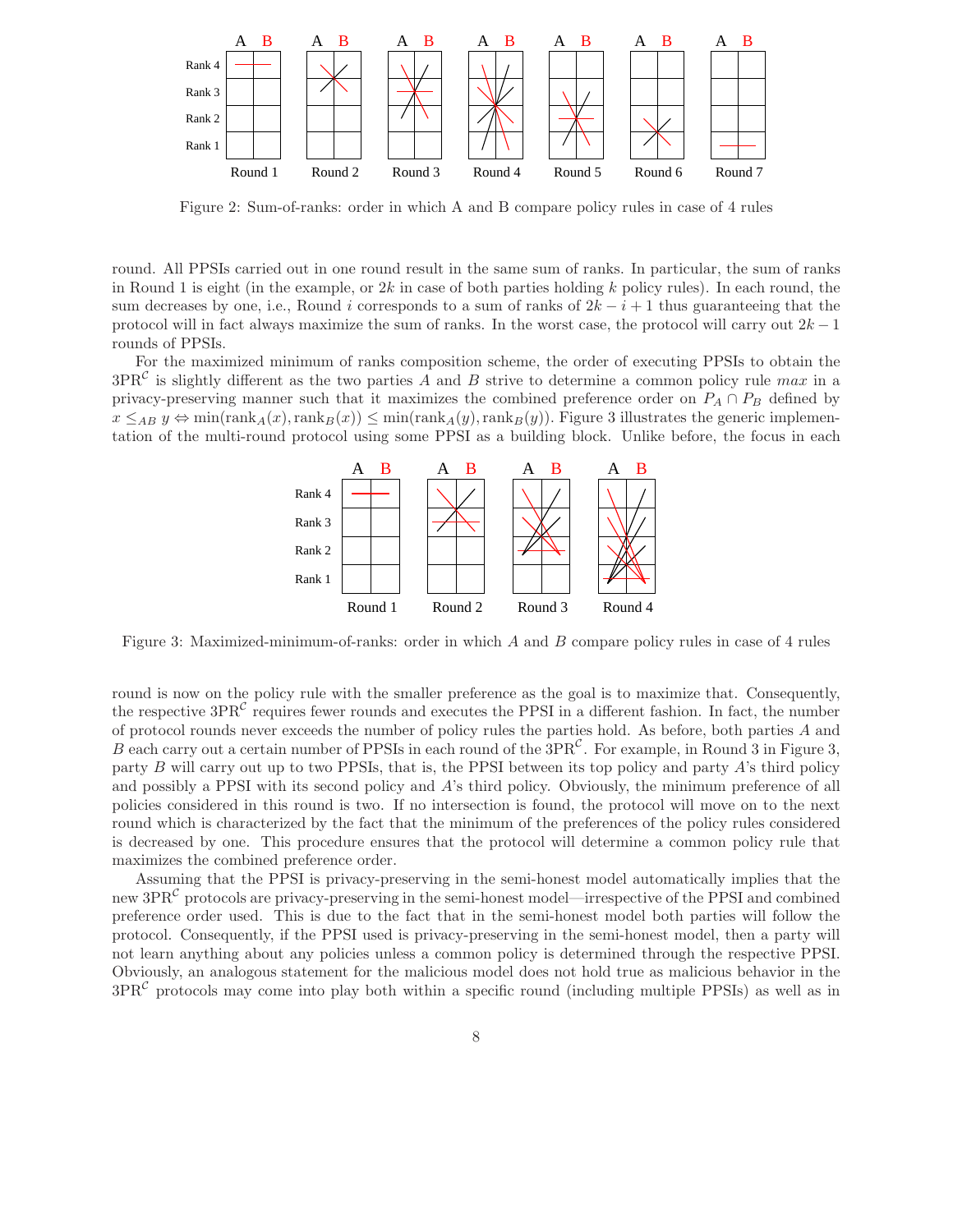

Figure 2: Sum-of-ranks: order in which A and B compare policy rules in case of 4 rules

round. All PPSIs carried out in one round result in the same sum of ranks. In particular, the sum of ranks in Round 1 is eight (in the example, or  $2k$  in case of both parties holding k policy rules). In each round, the sum decreases by one, i.e., Round i corresponds to a sum of ranks of  $2k - i + 1$  thus guaranteeing that the protocol will in fact always maximize the sum of ranks. In the worst case, the protocol will carry out  $2k - 1$ rounds of PPSIs.

For the maximized minimum of ranks composition scheme, the order of executing PPSIs to obtain the  $3PR<sup>C</sup>$  is slightly different as the two parties A and B strive to determine a common policy rule max in a privacy-preserving manner such that it maximizes the combined preference order on  $P_A \cap P_B$  defined by  $x \leq_{AB} y \Leftrightarrow \min(\text{rank}_{A}(x),\text{rank}_{B}(x)) \leq \min(\text{rank}_{A}(y),\text{rank}_{B}(y))$ . Figure 3 illustrates the generic implementation of the multi-round protocol using some PPSI as a building block. Unlike before, the focus in each



Figure 3: Maximized-minimum-of-ranks: order in which A and B compare policy rules in case of 4 rules

round is now on the policy rule with the smaller preference as the goal is to maximize that. Consequently, the respective  $3PR<sup>C</sup>$  requires fewer rounds and executes the PPSI in a different fashion. In fact, the number of protocol rounds never exceeds the number of policy rules the parties hold. As before, both parties A and B each carry out a certain number of PPSIs in each round of the  $3PR<sup>C</sup>$ . For example, in Round 3 in Figure 3, party B will carry out up to two PPSIs, that is, the PPSI between its top policy and party A's third policy and possibly a PPSI with its second policy and A's third policy. Obviously, the minimum preference of all policies considered in this round is two. If no intersection is found, the protocol will move on to the next round which is characterized by the fact that the minimum of the preferences of the policy rules considered is decreased by one. This procedure ensures that the protocol will determine a common policy rule that maximizes the combined preference order.

Assuming that the PPSI is privacy-preserving in the semi-honest model automatically implies that the new  $3PR^{\mathcal{C}}$  protocols are privacy-preserving in the semi-honest model—irrespective of the PPSI and combined preference order used. This is due to the fact that in the semi-honest model both parties will follow the protocol. Consequently, if the PPSI used is privacy-preserving in the semi-honest model, then a party will not learn anything about any policies unless a common policy is determined through the respective PPSI. Obviously, an analogous statement for the malicious model does not hold true as malicious behavior in the  $3PR<sup>C</sup>$  protocols may come into play both within a specific round (including multiple PPSIs) as well as in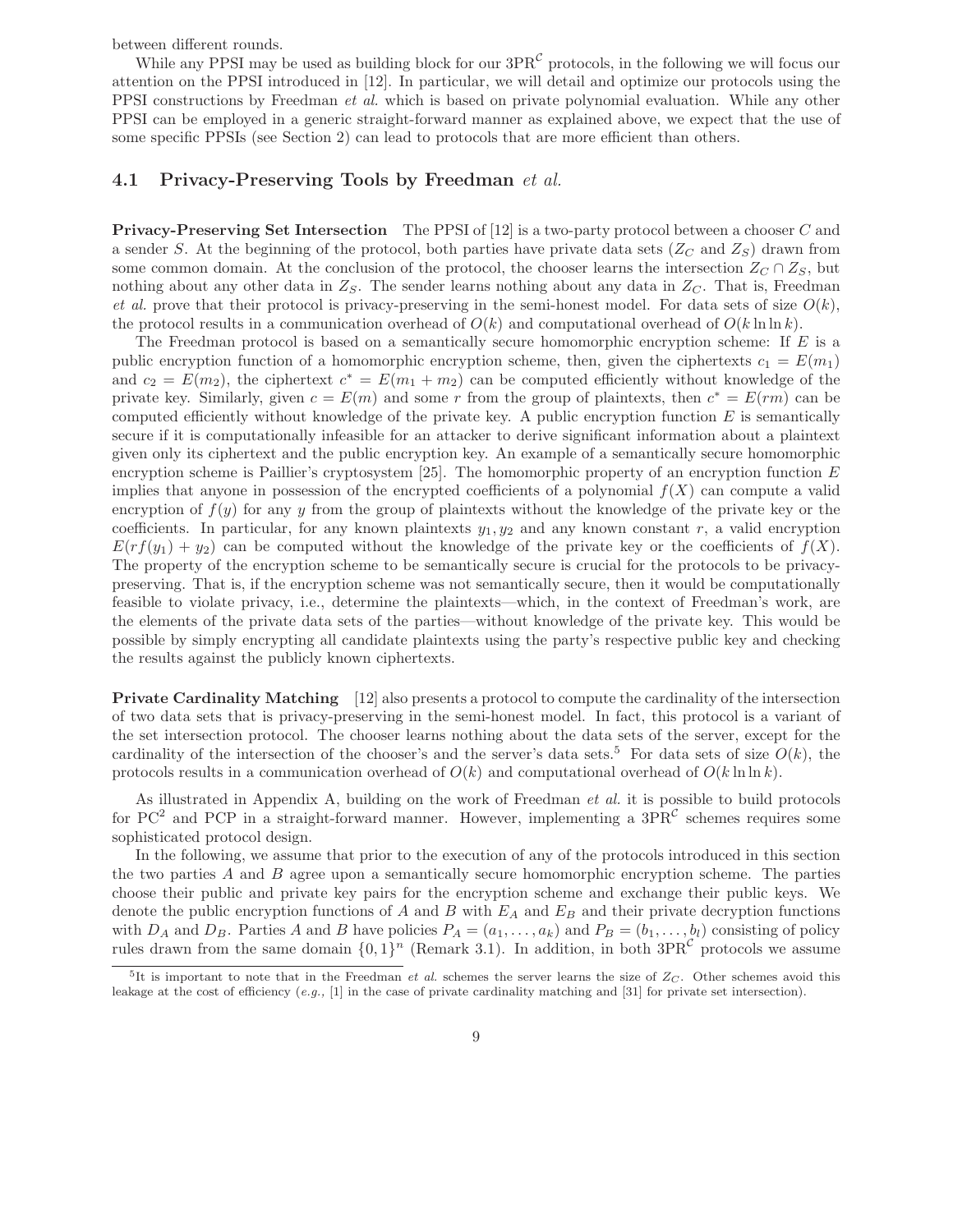between different rounds.

While any PPSI may be used as building block for our  $3PR^{\mathcal{C}}$  protocols, in the following we will focus our attention on the PPSI introduced in [12]. In particular, we will detail and optimize our protocols using the PPSI constructions by Freedman *et al.* which is based on private polynomial evaluation. While any other PPSI can be employed in a generic straight-forward manner as explained above, we expect that the use of some specific PPSIs (see Section 2) can lead to protocols that are more efficient than others.

#### **4.1 Privacy-Preserving Tools by Freedman** *et al.*

**Privacy-Preserving Set Intersection** The PPSI of [12] is a two-party protocol between a chooser C and a sender S. At the beginning of the protocol, both parties have private data sets  $(Z_C \text{ and } Z_S)$  drawn from some common domain. At the conclusion of the protocol, the chooser learns the intersection  $Z_C \cap Z_S$ , but nothing about any other data in  $Z_S$ . The sender learns nothing about any data in  $Z_C$ . That is, Freedman *et al.* prove that their protocol is privacy-preserving in the semi-honest model. For data sets of size  $O(k)$ , the protocol results in a communication overhead of  $O(k)$  and computational overhead of  $O(k \ln \ln k)$ .

The Freedman protocol is based on a semantically secure homomorphic encryption scheme: If E is a public encryption function of a homomorphic encryption scheme, then, given the ciphertexts  $c_1 = E(m_1)$ and  $c_2 = E(m_2)$ , the ciphertext  $c^* = E(m_1 + m_2)$  can be computed efficiently without knowledge of the private key. Similarly, given  $c = E(m)$  and some r from the group of plaintexts, then  $c^* = E(rm)$  can be computed efficiently without knowledge of the private key. A public encryption function  $E$  is semantically secure if it is computationally infeasible for an attacker to derive significant information about a plaintext given only its ciphertext and the public encryption key. An example of a semantically secure homomorphic encryption scheme is Paillier's cryptosystem [25]. The homomorphic property of an encryption function  $E$ implies that anyone in possession of the encrypted coefficients of a polynomial  $f(X)$  can compute a valid encryption of  $f(y)$  for any y from the group of plaintexts without the knowledge of the private key or the coefficients. In particular, for any known plaintexts  $y_1, y_2$  and any known constant r, a valid encryption  $E(rf(y_1) + y_2)$  can be computed without the knowledge of the private key or the coefficients of  $f(X)$ . The property of the encryption scheme to be semantically secure is crucial for the protocols to be privacypreserving. That is, if the encryption scheme was not semantically secure, then it would be computationally feasible to violate privacy, i.e., determine the plaintexts—which, in the context of Freedman's work, are the elements of the private data sets of the parties—without knowledge of the private key. This would be possible by simply encrypting all candidate plaintexts using the party's respective public key and checking the results against the publicly known ciphertexts.

**Private Cardinality Matching** [12] also presents a protocol to compute the cardinality of the intersection of two data sets that is privacy-preserving in the semi-honest model. In fact, this protocol is a variant of the set intersection protocol. The chooser learns nothing about the data sets of the server, except for the cardinality of the intersection of the chooser's and the server's data sets.<sup>5</sup> For data sets of size  $O(k)$ , the protocols results in a communication overhead of  $O(k)$  and computational overhead of  $O(k \ln \ln k)$ .

As illustrated in Appendix A, building on the work of Freedman *et al.* it is possible to build protocols for  $PC^2$  and PCP in a straight-forward manner. However, implementing a  $3PR^C$  schemes requires some sophisticated protocol design.

In the following, we assume that prior to the execution of any of the protocols introduced in this section the two parties A and B agree upon a semantically secure homomorphic encryption scheme. The parties choose their public and private key pairs for the encryption scheme and exchange their public keys. We denote the public encryption functions of A and B with  $E_A$  and  $E_B$  and their private decryption functions with  $D_A$  and  $D_B$ . Parties A and B have policies  $P_A = (a_1, \ldots, a_k)$  and  $P_B = (b_1, \ldots, b_l)$  consisting of policy rules drawn from the same domain  $\{0,1\}^n$  (Remark 3.1). In addition, in both  $3PR^{\mathcal{C}}$  protocols we assume

 ${}^{5}$ It is important to note that in the Freedman *et al.* schemes the server learns the size of  $Z_C$ . Other schemes avoid this leakage at the cost of efficiency (*e.g.,* [1] in the case of private cardinality matching and [31] for private set intersection).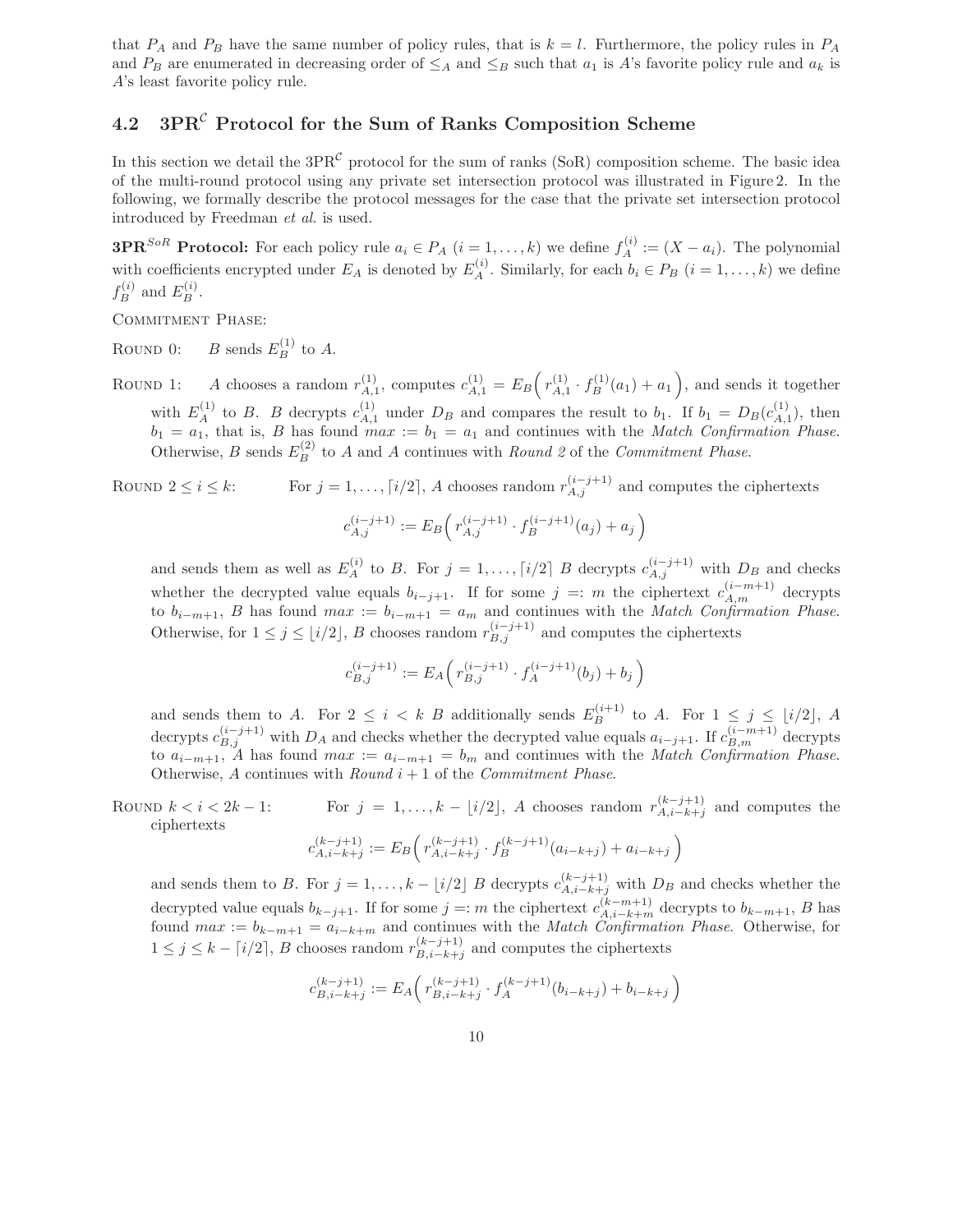that  $P_A$  and  $P_B$  have the same number of policy rules, that is  $k = l$ . Furthermore, the policy rules in  $P_A$ and  $P_B$  are enumerated in decreasing order of  $\leq_A$  and  $\leq_B$  such that  $a_1$  is A's favorite policy rule and  $a_k$  is A's least favorite policy rule.

### **4.2 3PR***<sup>C</sup>* **Protocol for the Sum of Ranks Composition Scheme**

In this section we detail the  $3PR^{\mathcal{C}}$  protocol for the sum of ranks (SoR) composition scheme. The basic idea of the multi-round protocol using any private set intersection protocol was illustrated in Figure 2. In the following, we formally describe the protocol messages for the case that the private set intersection protocol introduced by Freedman *et al.* is used.

**3PR**<sup>SoR</sup> **Protocol:** For each policy rule  $a_i \in P_A$   $(i = 1, ..., k)$  we define  $f_A^{(i)} := (X - a_i)$ . The polynomial with coefficients encrypted under  $E_A$  is denoted by  $E_A^{(i)}$ . Similarly, for each  $b_i \in P_B$   $(i = 1, \ldots, k)$  we define  $f_B^{(i)}$  and  $E_B^{(i)}$ .

COMMITMENT PHASE:

ROUND 0: *B* sends  $E_B^{(1)}$  to *A*.

ROUND 1: A chooses a random  $r_{A,1}^{(1)}$ , computes  $c_{A,1}^{(1)} = E_B\left(r_{A,1}^{(1)} \cdot f_B^{(1)}(a_1) + a_1\right)$ , and sends it together with  $E_A^{(1)}$  to B. B decrypts  $c_{A,1}^{(1)}$  under  $D_B$  and compares the result to  $b_1$ . If  $b_1 = D_B(c_{A,1}^{(1)})$ , then  $b_1 = a_1$ , that is, B has found  $max := b_1 = a_1$  and continues with the *Match Confirmation Phase*. Otherwise, *B* sends  $E_B^{(2)}$  to *A* and *A* continues with *Round 2* of the *Commitment Phase.* 

ROUND  $2 \le i \le k$ : For  $j = 1, ..., \lceil i/2 \rceil$ , A chooses random  $r_{A,j}^{(i-j+1)}$  and computes the ciphertexts  $\setminus$ 

$$
c_{A,j}^{(i-j+1)} := E_B\left(r_{A,j}^{(i-j+1)} \cdot f_B^{(i-j+1)}(a_j) + a_j\right)
$$

and sends them as well as  $E_A^{(i)}$  to B. For  $j = 1, \ldots, \lceil i/2 \rceil$  B decrypts  $c_{A,j}^{(i-j+1)}$  with  $D_B$  and checks whether the decrypted value equals  $b_{i-j+1}$ . If for some  $j =: m$  the ciphertext  $c_{A,m}^{(i-m+1)}$  decrypts to  $b_{i-m+1}$ , B has found  $max := b_{i-m+1} = a_m$  and continues with the *Match Confirmation Phase.* Otherwise, for  $1 \leq j \leq \lfloor i/2 \rfloor$ , B chooses random  $r_{B,j}^{(i-j+1)}$  and computes the ciphertexts

$$
c_{B,j}^{(i-j+1)} := E_A \Big( r_{B,j}^{(i-j+1)} \cdot f_A^{(i-j+1)}(b_j) + b_j \Big)
$$

and sends them to A. For  $2 \leq i \leq k$  B additionally sends  $E_B^{(i+1)}$  to A. For  $1 \leq j \leq \lfloor i/2 \rfloor$ , A decrypts  $c_{B,j}^{(i-j+1)}$  with  $D_A$  and checks whether the decrypted value equals  $a_{i-j+1}$ . If  $c_{B,m}^{(i-m+1)}$  decrypts to  $a_{i-m+1}$ , A has found  $max := a_{i-m+1} = b_m$  and continues with the *Match Confirmation Phase*. Otherwise, A continues with *Round* i + 1 of the *Commitment Phase*.

ROUND  $k < i < 2k - 1$ : For  $j = 1, ..., k - \lfloor i/2 \rfloor$ , A chooses random  $r_{A,i-k+j}^{(k-j+1)}$  and computes the ciphertexts

$$
c_{A,i-k+j}^{(k-j+1)} := E_B\Big(\,r_{A,i-k+j}^{(k-j+1)}\cdot f_B^{(k-j+1)}(a_{i-k+j}) + a_{i-k+j}\,\Big)
$$

and sends them to B. For  $j = 1, ..., k - \lfloor i/2 \rfloor$  B decrypts  $c_{A,i-k+j}^{(k-j+1)}$  with  $D_B$  and checks whether the decrypted value equals  $b_{k-j+1}$ . If for some  $j =: m$  the ciphertext  $c_{A,i-k+m}^{(k-m+1)}$  decrypts to  $b_{k-m+1}$ , B has found max := b*<sup>k</sup>*−*m*+1 = a*<sup>i</sup>*−*k*+*<sup>m</sup>* and continues with the *Match Confirmation Phase*. Otherwise, for 1 ≤ *j* ≤ *k* − [*i*/2], *B* chooses random  $r_{B,i-k+j}^{(k-j+1)}$  and computes the ciphertexts

$$
c_{B,i-k+j}^{(k-j+1)} := E_A \Big( r_{B,i-k+j}^{(k-j+1)} \cdot f_A^{(k-j+1)} (b_{i-k+j}) + b_{i-k+j} \Big)
$$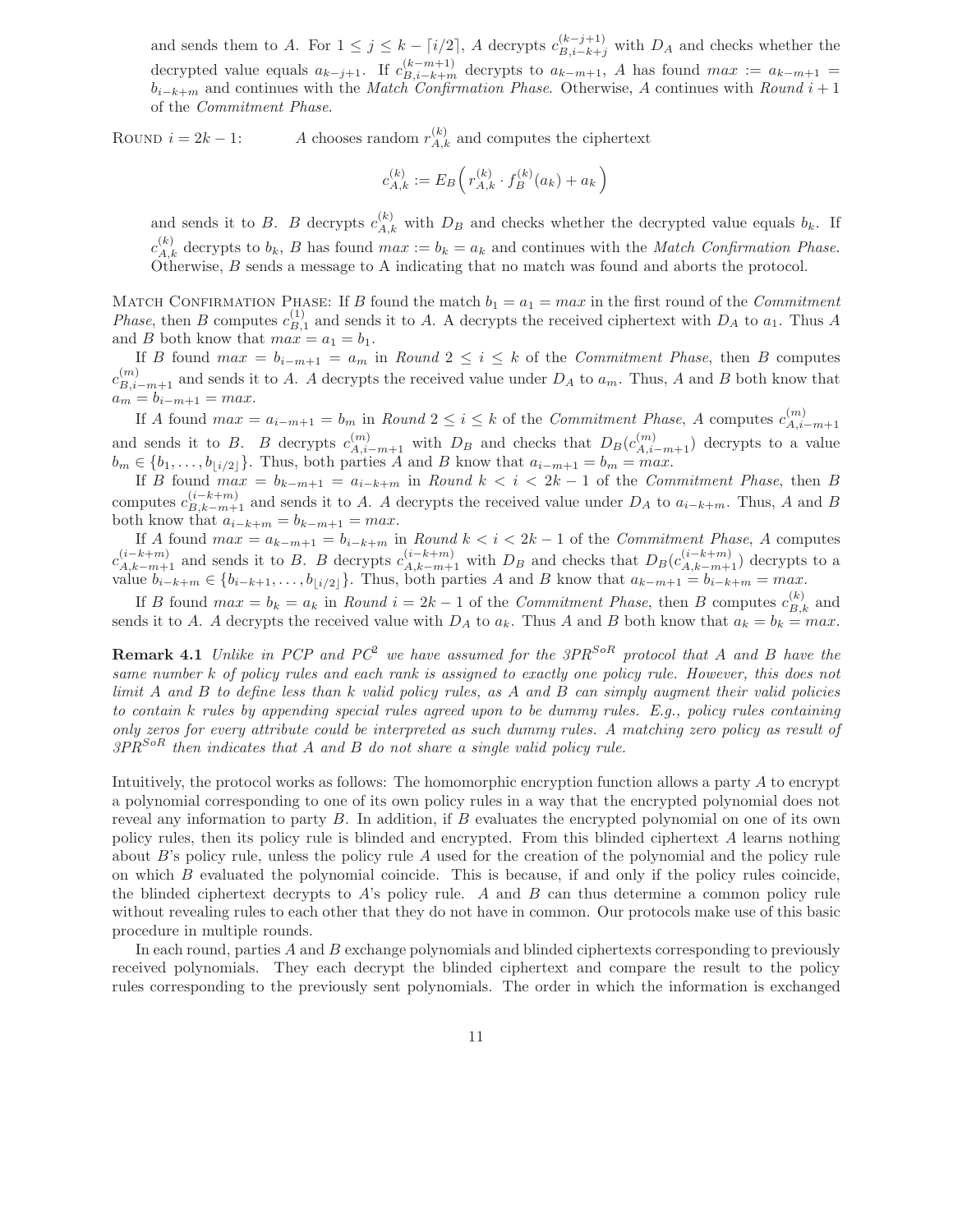and sends them to A. For  $1 \leq j \leq k - \lceil i/2 \rceil$ , A decrypts  $c_{B,i-k+j}^{(k-j+1)}$  with  $D_A$  and checks whether the decrypted value equals  $a_{k-j+1}$ . If  $c_{B,i-k+m}^{(k-m+1)}$  decrypts to  $a_{k-m+1}$ , A has found  $max := a_{k-m+1} =$ b*i*−*k*+*<sup>m</sup>* and continues with the *Match Confirmation Phase*. Otherwise, A continues with *Round* i + 1 of the *Commitment Phase*.

ROUND  $i = 2k - 1$ : A chooses random  $r_{A,k}^{(k)}$  and computes the ciphertext

$$
c^{(k)}_{A,k} := E_B\Big(\,r_{A,k}^{(k)}\cdot f_B^{(k)}(a_k) + a_k\,\Big)
$$

and sends it to B. B decrypts  $c_{A,k}^{(k)}$  with  $D_B$  and checks whether the decrypted value equals  $b_k$ . If  $c_{A,k}^{(k)}$  decrypts to  $b_k$ , B has found  $max := b_k = a_k$  and continues with the *Match Confirmation Phase*. Otherwise, B sends a message to A indicating that no match was found and aborts the protocol.

MATCH CONFIRMATION PHASE: If B found the match  $b_1 = a_1 = max$  in the first round of the *Commitment Phase*, then B computes  $c_{B,1}^{(1)}$  and sends it to A. A decrypts the received ciphertext with  $D_A$  to  $a_1$ . Thus A and B both know that  $max = a_1 = b_1$ .

If B found  $max = b_{i-m+1} = a_m$  in *Round*  $2 \le i \le k$  of the *Commitment Phase*, then B computes  $c_{B,i-m+1}^{(m)}$  and sends it to A. A decrypts the received value under  $D_A$  to  $a_m$ . Thus, A and B both know that  $a_m = b_{i-m+1} = max.$ 

If A found  $max = a_{i-m+1} = b_m$  in  $Round\ 2 \leq i \leq k$  of the *Commitment Phase*, A computes  $c_{A,i}^{(m)}$ . *A,i*−*m*+1 and sends it to *B*. *B* decrypts  $c_{A,i-m+1}^{(m)}$  with  $D_B$  and checks that  $D_B(c_{A,i-m+1}^{(m)})$  decrypts to a value  $b_m \in \{b_1, \ldots, b_{\lfloor i/2 \rfloor}\}.$  Thus, both parties A and B know that  $a_{i-m+1} = b_m = max$ .

If B found  $max = b_{k-m+1} = a_{i-k+m}$  in *Round*  $k < i < 2k-1$  of the *Commitment Phase*, then B computes  $c_{B,k-m+1}^{(i-k+m)}$  and sends it to A. A decrypts the received value under  $D_A$  to  $a_{i-k+m}$ . Thus, A and B both know that  $a_{i-k+m} = b_{k-m+1} = max$ .

If A found  $max = a_{k-m+1} = b_{i-k+m}$  in *Round*  $k < i < 2k-1$  of the *Commitment Phase*, A computes  $c_{A,k-m+1}^{(i-k+m)}$  and sends it to B. B decrypts  $c_{A,k-m+1}^{(i-k+m)}$  with  $D_B$  and checks that  $D_B(c_{A,k-m+1}^{(i-k+m)})$  decrypts to a value  $b_{i-k+m} \in \{b_{i-k+1}, \ldots, b_{\lfloor i/2 \rfloor}\}$ . Thus, both parties A and B know that  $a_{k-m+1} = b_{i-k+m} = max$ .

If B found  $max = b_k = a_k$  in *Round*  $i = 2k - 1$  of the *Commitment Phase*, then B computes  $c_{B,k}^{(k)}$  and sends it to A. A decrypts the received value with  $D_A$  to  $a_k$ . Thus A and B both know that  $a_k = b_k = max$ .

**Remark 4.1** *Unlike in PCP and PC*<sup>2</sup> *we have assumed for the 3PRSoR protocol that* A *and* B *have the same number* k *of policy rules and each rank is assigned to exactly one policy rule. However, this does not limit* A *and* B *to define less than* k *valid policy rules, as* A *and* B *can simply augment their valid policies to contain* k *rules by appending special rules agreed upon to be dummy rules. E.g., policy rules containing only zeros for every attribute could be interpreted as such dummy rules. A matching zero policy as result of 3PRSoR then indicates that* A *and* B *do not share a single valid policy rule.*

Intuitively, the protocol works as follows: The homomorphic encryption function allows a party A to encrypt a polynomial corresponding to one of its own policy rules in a way that the encrypted polynomial does not reveal any information to party B. In addition, if B evaluates the encrypted polynomial on one of its own policy rules, then its policy rule is blinded and encrypted. From this blinded ciphertext A learns nothing about  $B$ 's policy rule, unless the policy rule  $A$  used for the creation of the polynomial and the policy rule on which B evaluated the polynomial coincide. This is because, if and only if the policy rules coincide, the blinded ciphertext decrypts to A's policy rule. A and B can thus determine a common policy rule without revealing rules to each other that they do not have in common. Our protocols make use of this basic procedure in multiple rounds.

In each round, parties A and B exchange polynomials and blinded ciphertexts corresponding to previously received polynomials. They each decrypt the blinded ciphertext and compare the result to the policy rules corresponding to the previously sent polynomials. The order in which the information is exchanged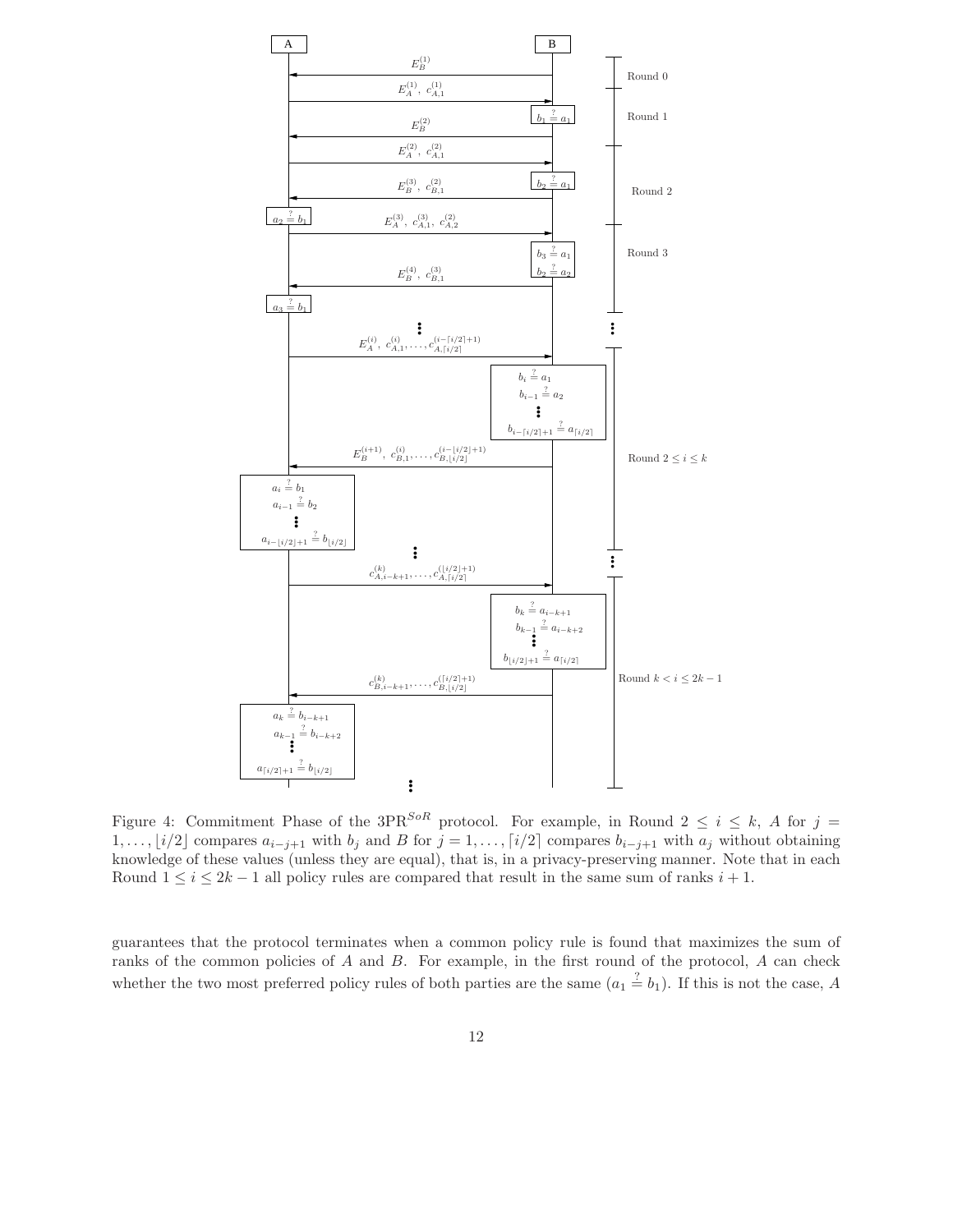

Figure 4: Commitment Phase of the 3PR<sup>SoR</sup> protocol. For example, in Round  $2 \le i \le k$ , A for  $j =$ 1,..., [i/2] compares  $a_{i-j+1}$  with  $b_j$  and B for  $j = 1, \ldots, \lceil i/2 \rceil$  compares  $b_{i-j+1}$  with  $a_j$  without obtaining knowledge of these values (unless they are equal), that is, in a privacy-preserving manner. Note that in each Round  $1 \leq i \leq 2k-1$  all policy rules are compared that result in the same sum of ranks  $i+1$ .

guarantees that the protocol terminates when a common policy rule is found that maximizes the sum of ranks of the common policies of  $A$  and  $B$ . For example, in the first round of the protocol,  $A$  can check whether the two most preferred policy rules of both parties are the same  $(a_1 \stackrel{?}{=} b_1)$ . If this is not the case, A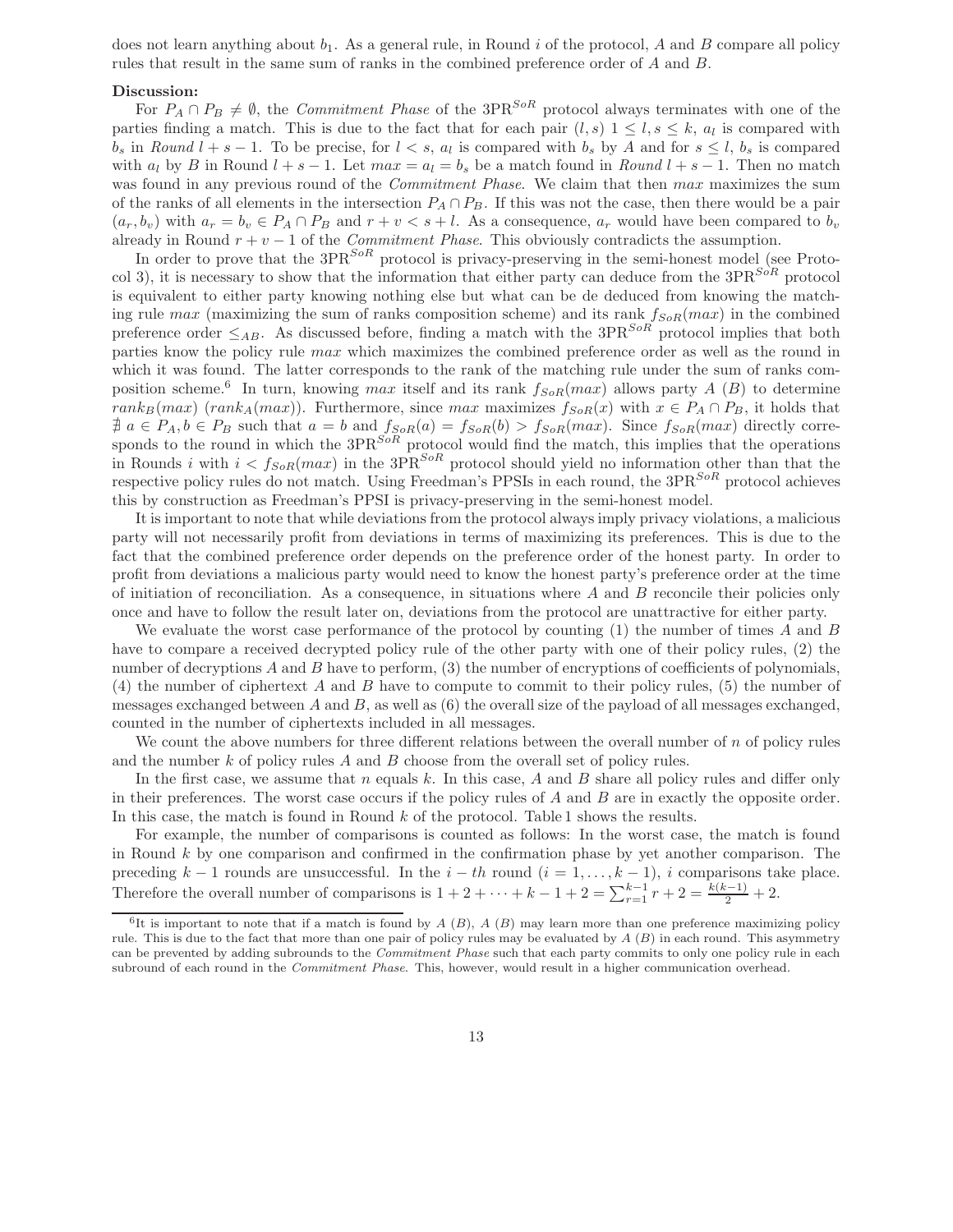does not learn anything about  $b_1$ . As a general rule, in Round i of the protocol, A and B compare all policy rules that result in the same sum of ranks in the combined preference order of A and B.

#### **Discussion:**

For  $P_A \cap P_B \neq \emptyset$ , the *Commitment Phase* of the 3PR<sup>SoR</sup> protocol always terminates with one of the parties finding a match. This is due to the fact that for each pair  $(l, s)$   $1 \leq l, s \leq k, a_l$  is compared with  $b_s$  in *Round*  $l + s - 1$ . To be precise, for  $l < s$ ,  $a_l$  is compared with  $b_s$  by A and for  $s \leq l$ ,  $b_s$  is compared with  $a_l$  by B in Round  $l + s - 1$ . Let  $max = a_l = b_s$  be a match found in *Round*  $l + s - 1$ . Then no match was found in any previous round of the *Commitment Phase*. We claim that then  $max$  maximizes the sum of the ranks of all elements in the intersection  $P_A \cap P_B$ . If this was not the case, then there would be a pair  $(a_r, b_v)$  with  $a_r = b_v \in P_A \cap P_B$  and  $r + v < s + l$ . As a consequence,  $a_r$  would have been compared to  $b_v$ already in Round  $r + v - 1$  of the *Commitment Phase*. This obviously contradicts the assumption.

In order to prove that the  $3PR^{SoR}$  protocol is privacy-preserving in the semi-honest model (see Protocol 3), it is necessary to show that the information that either party can deduce from the 3PR*SoR* protocol is equivalent to either party knowing nothing else but what can be de deduced from knowing the matching rule max (maximizing the sum of ranks composition scheme) and its rank  $f_{\text{SoR}}(max)$  in the combined preference order  $\leq_{AB}$ . As discussed before, finding a match with the 3PR<sup>SoR</sup> protocol implies that both parties know the policy rule max which maximizes the combined preference order as well as the round in which it was found. The latter corresponds to the rank of the matching rule under the sum of ranks composition scheme.<sup>6</sup> In turn, knowing max itself and its rank  $f_{S_0R}(max)$  allows party A (B) to determine rank<sub>B</sub>(max) (rank<sub>A</sub>(max)). Furthermore, since max maximizes  $f_{SoR}(x)$  with  $x \in P_A \cap P_B$ , it holds that  $\nexists a \in P_A, b \in P_B$  such that  $a = b$  and  $f_{SoR}(a) = f_{SoR}(b) > f_{SoR}(max)$ . Since  $f_{SoR}(max)$  directly corresponds to the round in which the 3PR*SoR* protocol would find the match, this implies that the operations in Rounds i with  $i < f_{SoR}(max)$  in the 3PR<sup>SoR</sup> protocol should yield no information other than that the respective policy rules do not match. Using Freedman's PPSIs in each round, the 3PR*SoR* protocol achieves this by construction as Freedman's PPSI is privacy-preserving in the semi-honest model.

It is important to note that while deviations from the protocol always imply privacy violations, a malicious party will not necessarily profit from deviations in terms of maximizing its preferences. This is due to the fact that the combined preference order depends on the preference order of the honest party. In order to profit from deviations a malicious party would need to know the honest party's preference order at the time of initiation of reconciliation. As a consequence, in situations where A and B reconcile their policies only once and have to follow the result later on, deviations from the protocol are unattractive for either party.

We evaluate the worst case performance of the protocol by counting  $(1)$  the number of times A and B have to compare a received decrypted policy rule of the other party with one of their policy rules, (2) the number of decryptions A and B have to perform, (3) the number of encryptions of coefficients of polynomials, (4) the number of ciphertext A and B have to compute to commit to their policy rules, (5) the number of messages exchanged between A and B, as well as  $(6)$  the overall size of the payload of all messages exchanged, counted in the number of ciphertexts included in all messages.

We count the above numbers for three different relations between the overall number of  $n$  of policy rules and the number  $k$  of policy rules  $A$  and  $B$  choose from the overall set of policy rules.

In the first case, we assume that n equals k. In this case, A and B share all policy rules and differ only in their preferences. The worst case occurs if the policy rules of  $A$  and  $B$  are in exactly the opposite order. In this case, the match is found in Round  $k$  of the protocol. Table 1 shows the results.

For example, the number of comparisons is counted as follows: In the worst case, the match is found in Round  $k$  by one comparison and confirmed in the confirmation phase by yet another comparison. The preceding  $k-1$  rounds are unsuccessful. In the  $i-th$  round  $(i = 1, \ldots, k-1)$ , i comparisons take place. Therefore the overall number of comparisons is  $1 + 2 + \cdots + k - 1 + 2 = \sum_{r=1}^{k-1} r + 2 = \frac{k(k-1)}{2} + 2$ .

 ${}^6$ It is important to note that if a match is found by *A* (*B*), *A* (*B*) may learn more than one preference maximizing policy rule. This is due to the fact that more than one pair of policy rules may be evaluated by *A* (*B*) in each round. This asymmetry can be prevented by adding subrounds to the *Commitment Phase* such that each party commits to only one policy rule in each subround of each round in the *Commitment Phase*. This, however, would result in a higher communication overhead.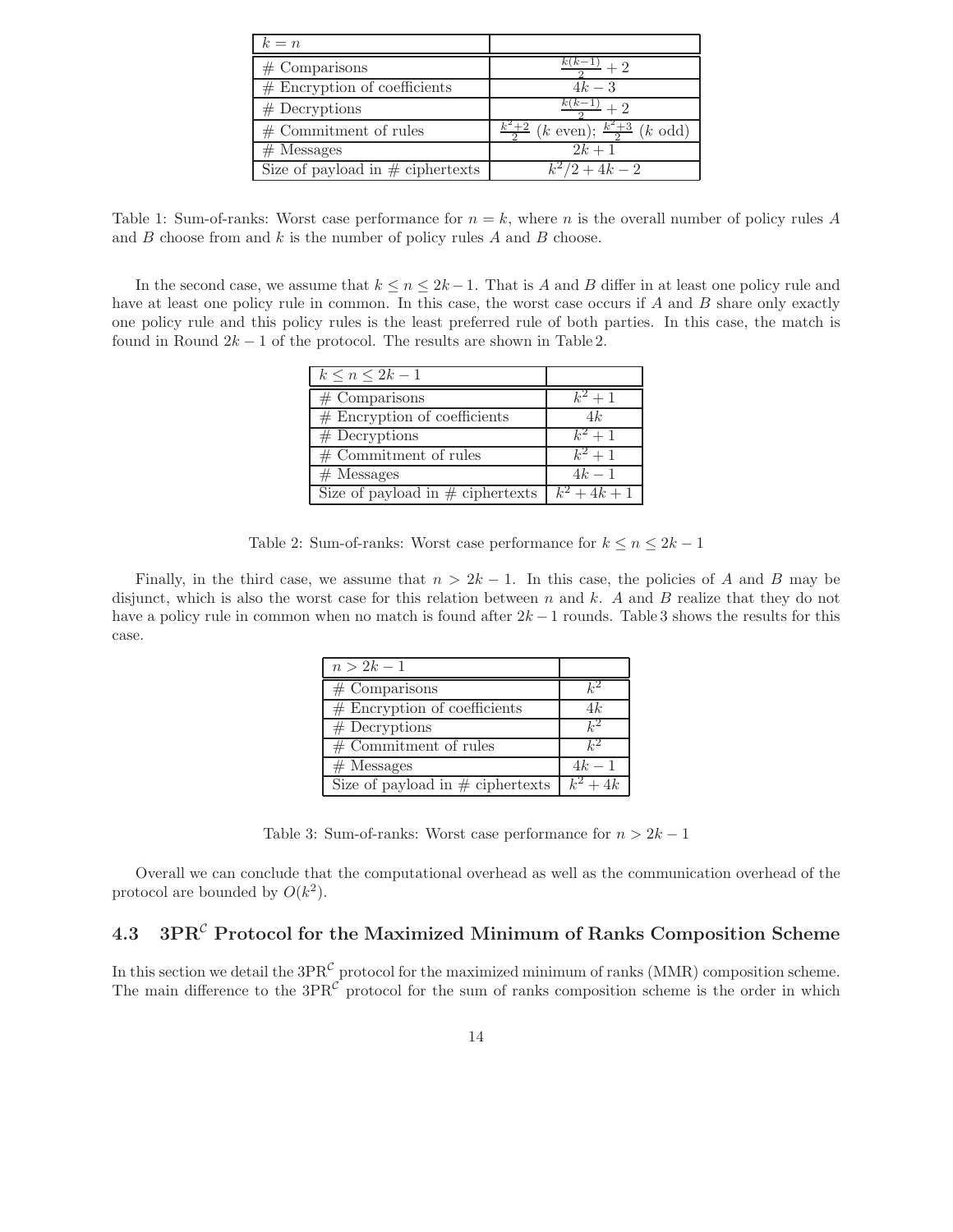| $k = n$                             |                                                       |
|-------------------------------------|-------------------------------------------------------|
| $#$ Comparisons                     | $k(k-1)$                                              |
| $#$ Encryption of coefficients      | $4k-3$                                                |
| $#$ Decryptions                     | $k(k-1)$                                              |
| $#$ Commitment of rules             | $\frac{k^2+2}{2}$ (k even); $\frac{k^2+3}{2}$ (k odd) |
| $#$ Messages                        | $2k + 1$                                              |
| Size of payload in $\#$ ciphertexts | $k^2/2 + 4k - 2$                                      |

Table 1: Sum-of-ranks: Worst case performance for  $n = k$ , where n is the overall number of policy rules A and  $B$  choose from and  $k$  is the number of policy rules  $A$  and  $B$  choose.

In the second case, we assume that  $k \leq n \leq 2k-1$ . That is A and B differ in at least one policy rule and have at least one policy rule in common. In this case, the worst case occurs if A and B share only exactly one policy rule and this policy rules is the least preferred rule of both parties. In this case, the match is found in Round  $2k - 1$  of the protocol. The results are shown in Table 2.

| $k \leq n \leq 2k-1$                            |         |
|-------------------------------------------------|---------|
| $#$ Comparisons                                 | $k^2+1$ |
| $#$ Encryption of coefficients                  | 4k      |
| $#$ Decryptions                                 | $k^2+1$ |
| $\overline{\#}$ Commitment of rules             | $k^2+1$ |
| $#$ Messages                                    | $4k-1$  |
| Size of payload in # ciphertexts $k^2 + 4k + 1$ |         |

Table 2: Sum-of-ranks: Worst case performance for  $k \leq n \leq 2k - 1$ 

Finally, in the third case, we assume that  $n > 2k - 1$ . In this case, the policies of A and B may be disjunct, which is also the worst case for this relation between n and k. A and B realize that they do not have a policy rule in common when no match is found after  $2k - 1$  rounds. Table 3 shows the results for this case.

| $n > 2k - 1$                        |               |
|-------------------------------------|---------------|
| $#$ Comparisons                     | $_{l\cdot 2}$ |
| $#$ Encryption of coefficients      | 4k            |
| $#$ Decryptions                     | $k^2$         |
| $\overline{\#$ Commitment of rules  | $k^2$         |
| $#$ Messages                        | $4k-1$        |
| Size of payload in $\#$ ciphertexts | $k^2 + 4k$    |

Table 3: Sum-of-ranks: Worst case performance for  $n > 2k - 1$ 

Overall we can conclude that the computational overhead as well as the communication overhead of the protocol are bounded by  $O(k^2)$ .

# **4.3 3PR***<sup>C</sup>* **Protocol for the Maximized Minimum of Ranks Composition Scheme**

In this section we detail the  $3PR^{\mathcal{C}}$  protocol for the maximized minimum of ranks (MMR) composition scheme. The main difference to the  $3PR^{C}$  protocol for the sum of ranks composition scheme is the order in which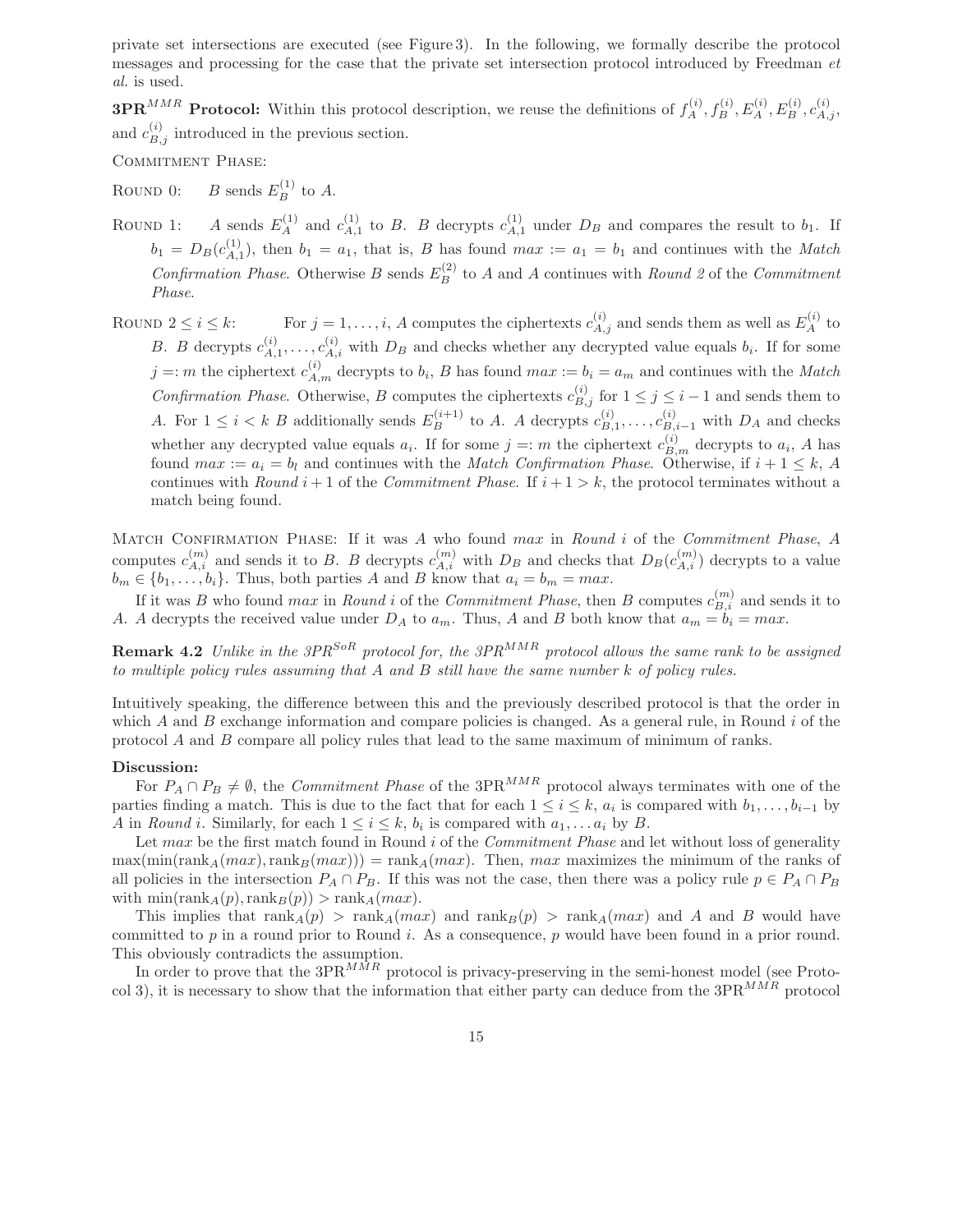private set intersections are executed (see Figure 3). In the following, we formally describe the protocol messages and processing for the case that the private set intersection protocol introduced by Freedman *et al.* is used.

**3PR**<sup>MMR</sup> Protocol: Within this protocol description, we reuse the definitions of  $f_A^{(i)}$ ,  $f_B^{(i)}$ ,  $E_A^{(i)}$ ,  $E_B^{(i)}$ ,  $c_{A,j}^{(i)}$ , and  $c_{B,j}^{(i)}$  introduced in the previous section.

COMMITMENT PHASE:

ROUND 0: *B* sends  $E_B^{(1)}$  to *A*.

- ROUND 1: A sends  $E_A^{(1)}$  and  $c_{A,1}^{(1)}$  to B. B decrypts  $c_{A,1}^{(1)}$  under  $D_B$  and compares the result to  $b_1$ . If  $b_1 = D_B(c_{A,1}^{(1)})$ , then  $b_1 = a_1$ , that is, B has found  $max := a_1 = b_1$  and continues with the *Match Confirmation Phase.* Otherwise B sends  $E_B^{(2)}$  to A and A continues with *Round 2* of the *Commitment Phase*.
- ROUND  $2 \leq i \leq k$ : For  $j = 1, \ldots, i$ , A computes the ciphertexts  $c_{A,j}^{(i)}$  and sends them as well as  $E_A^{(i)}$  to B. B decrypts  $c_{A,1}^{(i)},\ldots,c_{A,i}^{(i)}$  with  $D_B$  and checks whether any decrypted value equals  $b_i$ . If for some  $j = m$  the ciphertext  $c_{A,m}^{(i)}$  decrypts to  $b_i$ , B has found  $max := b_i = a_m$  and continues with the *Match Confirmation Phase.* Otherwise, B computes the ciphertexts  $c_{B,j}^{(i)}$  for  $1 \leq j \leq i-1$  and sends them to A. For  $1 \leq i < k$  B additionally sends  $E_B^{(i+1)}$  to A. A decrypts  $c_{B,1}^{(i)}, \ldots, c_{B,i-1}^{(i)}$  with  $D_A$  and checks whether any decrypted value equals  $a_i$ . If for some  $j = m$  the ciphertext  $c_{B,m}^{(i)}$  decrypts to  $a_i$ , A has found  $max := a_i = b_i$  and continues with the *Match Confirmation Phase*. Otherwise, if  $i + 1 \leq k$ , A continues with *Round*  $i + 1$  of the *Commitment Phase*. If  $i + 1 > k$ , the protocol terminates without a match being found.

Match Confirmation Phase: If it was A who found max in *Round* i of the *Commitment Phase*, A computes  $c_{A,i}^{(m)}$  and sends it to B. B decrypts  $c_{A,i}^{(m)}$  with  $D_B$  and checks that  $D_B(c_{A,i}^{(m)})$  decrypts to a value  $b_m \in \{b_1, \ldots, b_i\}$ . Thus, both parties A and B know that  $a_i = b_m = max$ .

If it was B who found *max* in *Round i* of the *Commitment Phase*, then B computes  $c_{B,i}^{(m)}$  and sends it to A. A decrypts the received value under  $D_A$  to  $a_m$ . Thus, A and B both know that  $a_m = b_i = max$ .

**Remark 4.2** *Unlike in the 3PRSoR protocol for, the 3PRMMR protocol allows the same rank to be assigned to multiple policy rules assuming that* A *and* B *still have the same number* k *of policy rules.*

Intuitively speaking, the difference between this and the previously described protocol is that the order in which A and B exchange information and compare policies is changed. As a general rule, in Round  $i$  of the protocol  $A$  and  $B$  compare all policy rules that lead to the same maximum of minimum of ranks.

#### **Discussion:**

For  $P_A \cap P_B \neq \emptyset$ , the *Commitment Phase* of the 3PR<sup>MMR</sup> protocol always terminates with one of the parties finding a match. This is due to the fact that for each  $1 \leq i \leq k$ ,  $a_i$  is compared with  $b_1, \ldots, b_{i-1}$  by A in *Round* i. Similarly, for each  $1 \leq i \leq k$ ,  $b_i$  is compared with  $a_1, \ldots, a_i$  by B.

Let max be the first match found in Round i of the *Commitment Phase* and let without loss of generality  $\max(\min(\text{rank}_A(max),\text{rank}_B(max))) = \text{rank}_A(max)$ . Then, max maximizes the minimum of the ranks of all policies in the intersection  $P_A \cap P_B$ . If this was not the case, then there was a policy rule  $p \in P_A \cap P_B$ with  $\min(\text{rank}_A(p), \text{rank}_B(p)) > \text{rank}_A(max)$ .

This implies that  $rank_A(p) > rank_A(max)$  and  $rank_B(p) > rank_A(max)$  and A and B would have committed to  $p$  in a round prior to Round i. As a consequence,  $p$  would have been found in a prior round. This obviously contradicts the assumption.

In order to prove that the  $3PR^{MMR}$  protocol is privacy-preserving in the semi-honest model (see Protocol 3), it is necessary to show that the information that either party can deduce from the 3PR*MMR* protocol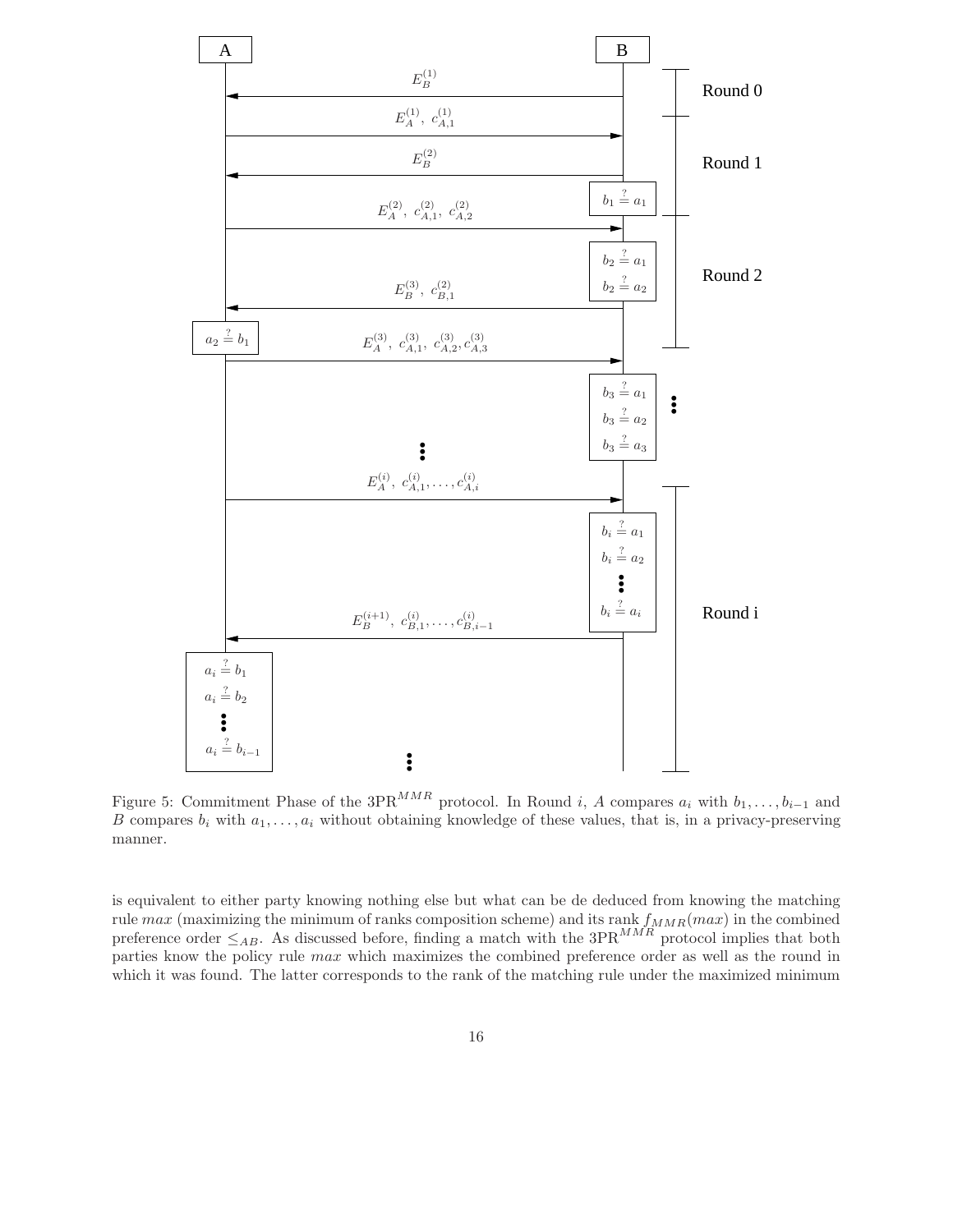

Figure 5: Commitment Phase of the 3PR<sup>MMR</sup> protocol. In Round i, A compares  $a_i$  with  $b_1, \ldots, b_{i-1}$  and B compares  $b_i$  with  $a_1, \ldots, a_i$  without obtaining knowledge of these values, that is, in a privacy-preserving manner.

is equivalent to either party knowing nothing else but what can be de deduced from knowing the matching rule  $max$  (maximizing the minimum of ranks composition scheme) and its rank  $f_{MMR}(max)$  in the combined preference order  $\leq_{AB}$ . As discussed before, finding a match with the  $3PR^{MMR}$  protocol implies that both parties know the policy rule max which maximizes the combined preference order as well as the round in which it was found. The latter corresponds to the rank of the matching rule under the maximized minimum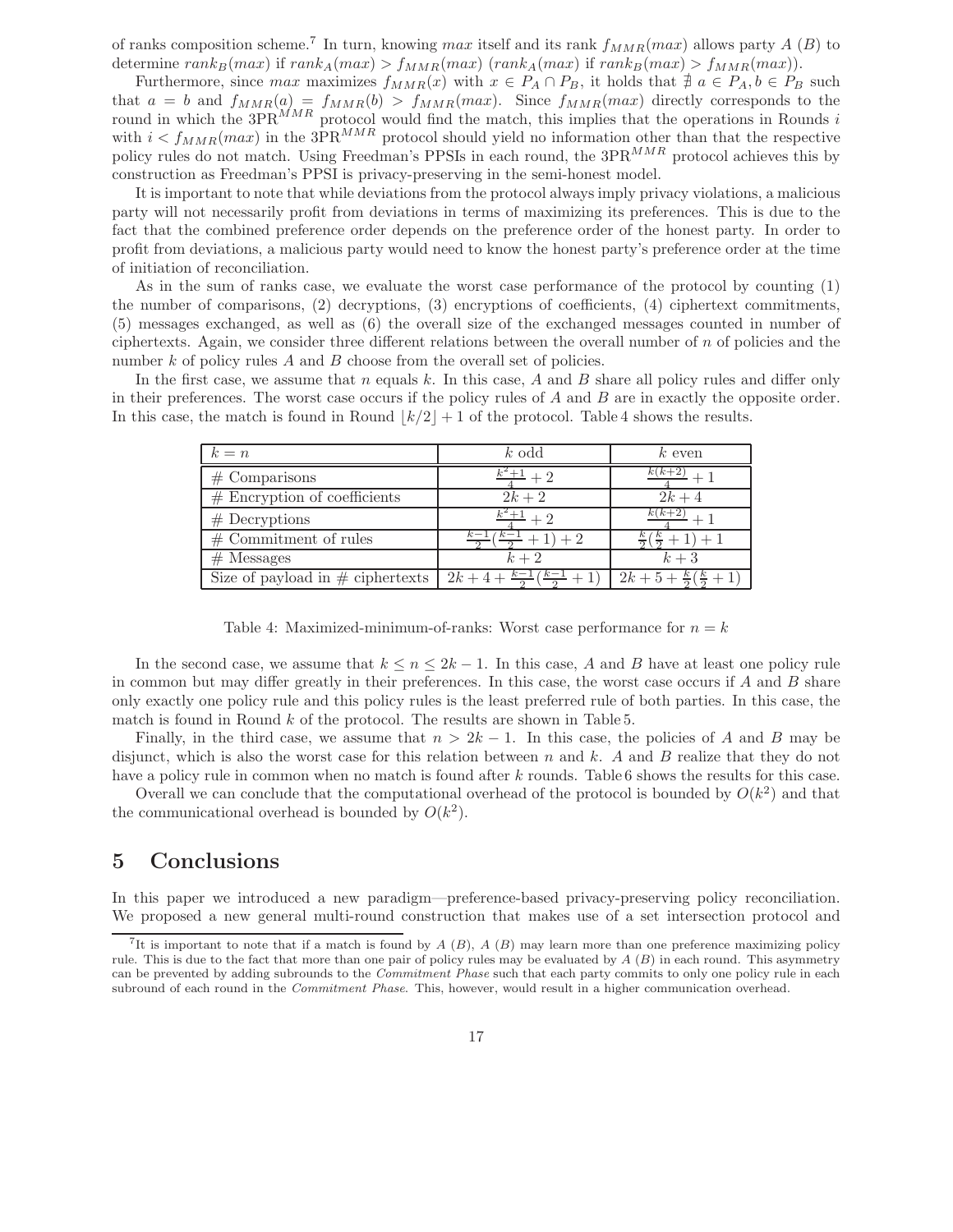of ranks composition scheme.<sup>7</sup> In turn, knowing max itself and its rank  $f_{MMR}(max)$  allows party A (B) to determine  $rank_B(max)$  if  $rank_A(max) > f_{MMR}(max)$  ( $rank_A(max)$ ) if  $rank_B(max) > f_{MMR}(max)$ ).

Furthermore, since  $max$  maximizes  $f_{MMR}(x)$  with  $x \in P_A \cap P_B$ , it holds that  $\neq a \in P_A, b \in P_B$  such that  $a = b$  and  $f_{MMR}(a) = f_{MMR}(b) > f_{MMR}(max)$ . Since  $f_{MMR}(max)$  directly corresponds to the round in which the  $3PR^{MMR}$  protocol would find the match, this implies that the operations in Rounds i with  $i < f_{MMR}(max)$  in the 3PR<sup>MMR</sup> protocol should yield no information other than that the respective policy rules do not match. Using Freedman's PPSIs in each round, the  $3PR^{MMR}$  protocol achieves this by construction as Freedman's PPSI is privacy-preserving in the semi-honest model.

It is important to note that while deviations from the protocol always imply privacy violations, a malicious party will not necessarily profit from deviations in terms of maximizing its preferences. This is due to the fact that the combined preference order depends on the preference order of the honest party. In order to profit from deviations, a malicious party would need to know the honest party's preference order at the time of initiation of reconciliation.

As in the sum of ranks case, we evaluate the worst case performance of the protocol by counting (1) the number of comparisons, (2) decryptions, (3) encryptions of coefficients, (4) ciphertext commitments, (5) messages exchanged, as well as (6) the overall size of the exchanged messages counted in number of ciphertexts. Again, we consider three different relations between the overall number of  $n$  of policies and the number  $k$  of policy rules  $A$  and  $B$  choose from the overall set of policies.

In the first case, we assume that n equals k. In this case, A and B share all policy rules and differ only in their preferences. The worst case occurs if the policy rules of  $A$  and  $B$  are in exactly the opposite order. In this case, the match is found in Round  $|k/2| + 1$  of the protocol. Table 4 shows the results.

| $k = n$                             | $k$ odd | $k$ even                    |
|-------------------------------------|---------|-----------------------------|
| $#$ Comparisons                     |         |                             |
| $#$ Encryption of coefficients      | $2k+2$  | $2k+4$                      |
| $#$ Decryptions                     |         |                             |
| $#$ Commitment of rules             |         |                             |
| $#$ Messages                        | $k+2$   | $k+3$                       |
| Size of payload in $\#$ ciphertexts | $2k +$  | $2k + 5 +$<br>$\frac{n}{2}$ |

Table 4: Maximized-minimum-of-ranks: Worst case performance for  $n = k$ 

In the second case, we assume that  $k \leq n \leq 2k - 1$ . In this case, A and B have at least one policy rule in common but may differ greatly in their preferences. In this case, the worst case occurs if  $A$  and  $B$  share only exactly one policy rule and this policy rules is the least preferred rule of both parties. In this case, the match is found in Round  $k$  of the protocol. The results are shown in Table 5.

Finally, in the third case, we assume that  $n > 2k - 1$ . In this case, the policies of A and B may be disjunct, which is also the worst case for this relation between  $n$  and  $k$ . A and  $B$  realize that they do not have a policy rule in common when no match is found after k rounds. Table 6 shows the results for this case.

Overall we can conclude that the computational overhead of the protocol is bounded by  $O(k^2)$  and that the communicational overhead is bounded by  $O(k^2)$ .

## **5 Conclusions**

In this paper we introduced a new paradigm—preference-based privacy-preserving policy reconciliation. We proposed a new general multi-round construction that makes use of a set intersection protocol and

<sup>&</sup>lt;sup>7</sup>It is important to note that if a match is found by  $A(B)$ ,  $A(B)$  may learn more than one preference maximizing policy rule. This is due to the fact that more than one pair of policy rules may be evaluated by *A* (*B*) in each round. This asymmetry can be prevented by adding subrounds to the *Commitment Phase* such that each party commits to only one policy rule in each subround of each round in the *Commitment Phase*. This, however, would result in a higher communication overhead.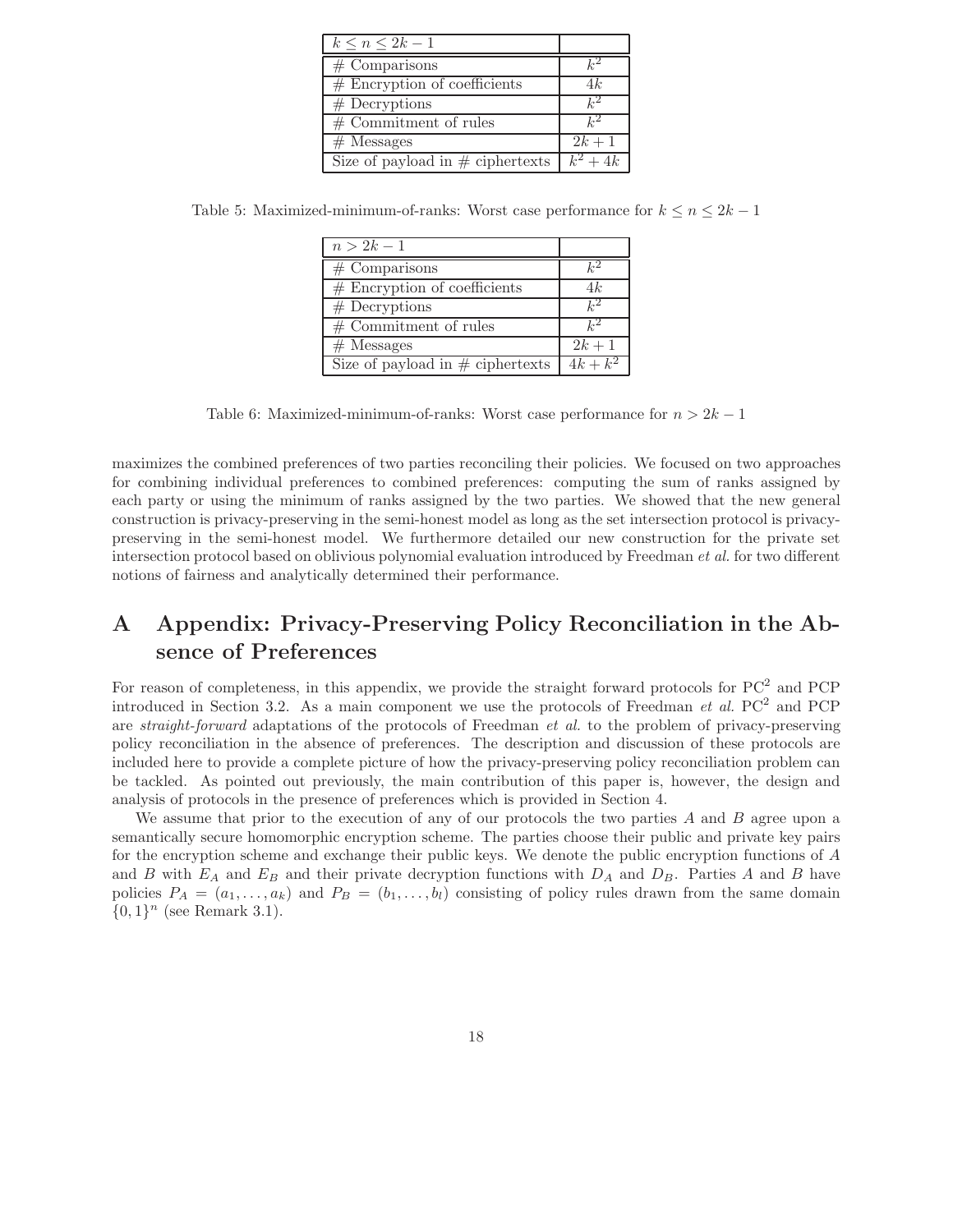| $k \leq n \leq 2k-1$                |                     |
|-------------------------------------|---------------------|
| $#$ Comparisons                     | $k^2$               |
| $#$ Encryption of coefficients      | 4k                  |
| $#$ Decryptions                     | $k^2$               |
| $\overline{\#$ Commitment of rules  | $\iota^{2}$         |
| $#$ Messages                        | $2k+1$              |
| Size of payload in $\#$ ciphertexts | $\overline{k^2+4k}$ |

Table 5: Maximized-minimum-of-ranks: Worst case performance for  $k \leq n \leq 2k - 1$ 

| $n>2k-1$                            |             |
|-------------------------------------|-------------|
| $#$ Comparisons                     |             |
| $#$ Encryption of coefficients      | 4k          |
| $#$ Decryptions                     | $k^2$       |
| $\overline{\#$ Commitment of rules  | $\iota^{2}$ |
| $#$ Messages                        | $2k+1$      |
| Size of payload in $\#$ ciphertexts | $4k + k^2$  |

Table 6: Maximized-minimum-of-ranks: Worst case performance for  $n > 2k - 1$ 

maximizes the combined preferences of two parties reconciling their policies. We focused on two approaches for combining individual preferences to combined preferences: computing the sum of ranks assigned by each party or using the minimum of ranks assigned by the two parties. We showed that the new general construction is privacy-preserving in the semi-honest model as long as the set intersection protocol is privacypreserving in the semi-honest model. We furthermore detailed our new construction for the private set intersection protocol based on oblivious polynomial evaluation introduced by Freedman *et al.* for two different notions of fairness and analytically determined their performance.

# **A Appendix: Privacy-Preserving Policy Reconciliation in the Absence of Preferences**

For reason of completeness, in this appendix, we provide the straight forward protocols for  $PC<sup>2</sup>$  and  $PCP$ introduced in Section 3.2. As a main component we use the protocols of Freedman  $et \ al. PC^2$  and PCP are *straight-forward* adaptations of the protocols of Freedman *et al.* to the problem of privacy-preserving policy reconciliation in the absence of preferences. The description and discussion of these protocols are included here to provide a complete picture of how the privacy-preserving policy reconciliation problem can be tackled. As pointed out previously, the main contribution of this paper is, however, the design and analysis of protocols in the presence of preferences which is provided in Section 4.

We assume that prior to the execution of any of our protocols the two parties  $A$  and  $B$  agree upon a semantically secure homomorphic encryption scheme. The parties choose their public and private key pairs for the encryption scheme and exchange their public keys. We denote the public encryption functions of A and B with  $E_A$  and  $E_B$  and their private decryption functions with  $D_A$  and  $D_B$ . Parties A and B have policies  $P_A = (a_1, \ldots, a_k)$  and  $P_B = (b_1, \ldots, b_l)$  consisting of policy rules drawn from the same domain  $\{0,1\}^n$  (see Remark 3.1).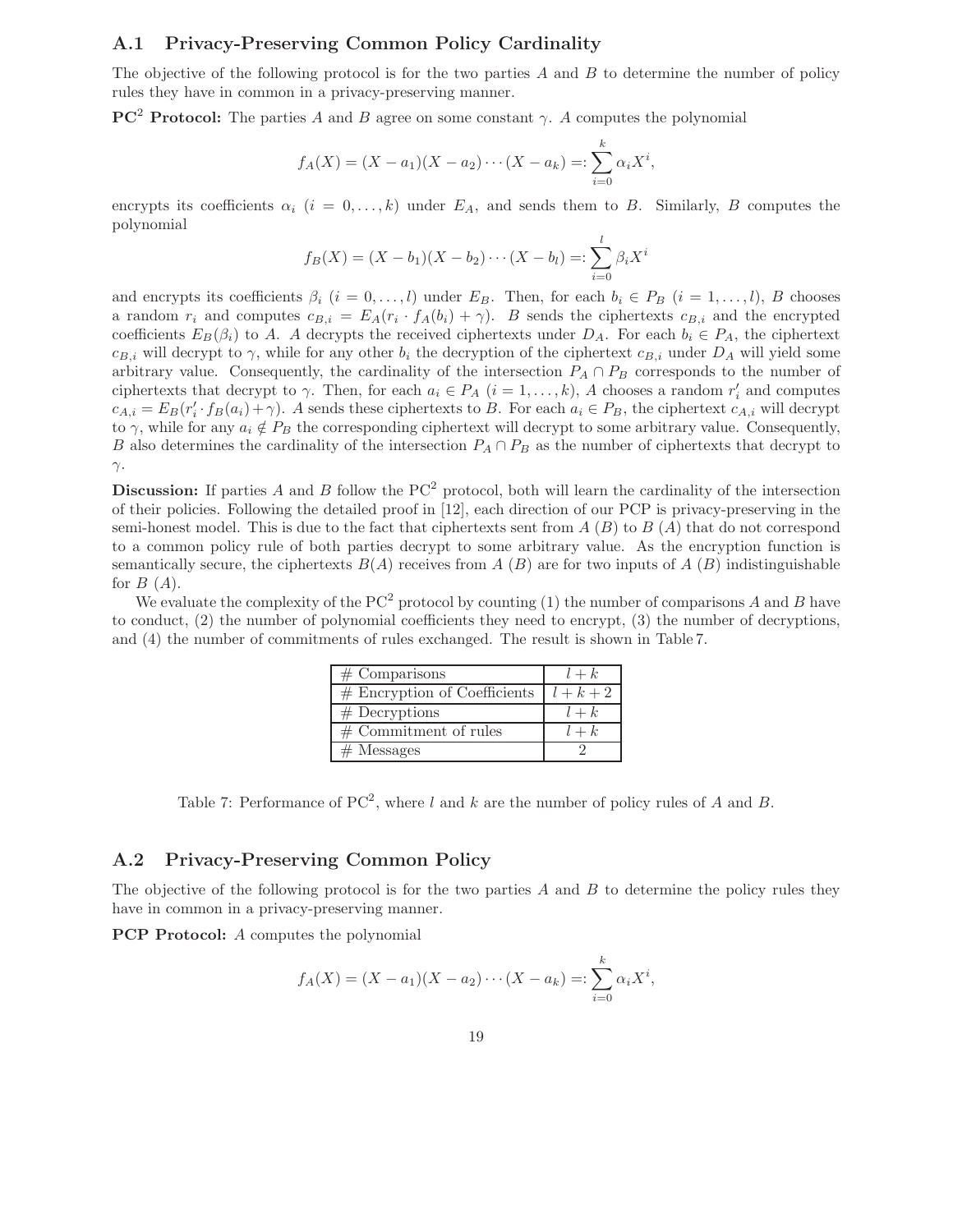#### **A.1 Privacy-Preserving Common Policy Cardinality**

The objective of the following protocol is for the two parties  $A$  and  $B$  to determine the number of policy rules they have in common in a privacy-preserving manner.

**PC<sup>2</sup> Protocol:** The parties A and B agree on some constant  $\gamma$ . A computes the polynomial

$$
f_A(X) = (X - a_1)(X - a_2) \cdots (X - a_k) =: \sum_{i=0}^k \alpha_i X^i,
$$

encrypts its coefficients  $\alpha_i$  ( $i = 0, \ldots, k$ ) under  $E_A$ , and sends them to B. Similarly, B computes the polynomial

$$
f_B(X) = (X - b_1)(X - b_2) \cdots (X - b_l) =: \sum_{i=0}^{l} \beta_i X^i
$$

and encrypts its coefficients  $\beta_i$  ( $i = 0, \ldots, l$ ) under  $E_B$ . Then, for each  $b_i \in P_B$  ( $i = 1, \ldots, l$ ), B chooses a random  $r_i$  and computes  $c_{B,i} = E_A(r_i \cdot f_A(b_i) + \gamma)$ . B sends the ciphertexts  $c_{B,i}$  and the encrypted coefficients  $E_B(\beta_i)$  to A. A decrypts the received ciphertexts under  $D_A$ . For each  $b_i \in P_A$ , the ciphertext  $c_{B,i}$  will decrypt to  $\gamma$ , while for any other  $b_i$  the decryption of the ciphertext  $c_{B,i}$  under  $D_A$  will yield some arbitrary value. Consequently, the cardinality of the intersection  $P_A \cap P_B$  corresponds to the number of ciphertexts that decrypt to  $\gamma$ . Then, for each  $a_i \in P_A$   $(i = 1, ..., k)$ , A chooses a random  $r'_i$  and computes  $c_{A,i} = E_B(r_i' \cdot f_B(a_i) + \gamma)$ . A sends these ciphertexts to B. For each  $a_i \in P_B$ , the ciphertext  $c_{A,i}$  will decrypt to  $\gamma$ , while for any  $a_i \notin P_B$  the corresponding ciphertext will decrypt to some arbitrary value. Consequently, B also determines the cardinality of the intersection  $P_A \cap P_B$  as the number of ciphertexts that decrypt to γ.

**Discussion:** If parties A and B follow the  $PC<sup>2</sup>$  protocol, both will learn the cardinality of the intersection of their policies. Following the detailed proof in [12], each direction of our PCP is privacy-preserving in the semi-honest model. This is due to the fact that ciphertexts sent from  $A(B)$  to  $B(A)$  that do not correspond to a common policy rule of both parties decrypt to some arbitrary value. As the encryption function is semantically secure, the ciphertexts  $B(A)$  receives from A  $(B)$  are for two inputs of A  $(B)$  indistinguishable for  $B(A)$ .

We evaluate the complexity of the  $PC^2$  protocol by counting (1) the number of comparisons A and B have to conduct, (2) the number of polynomial coefficients they need to encrypt, (3) the number of decryptions, and (4) the number of commitments of rules exchanged. The result is shown in Table 7.

| $#$ Comparisons                          | $l+k$ |
|------------------------------------------|-------|
| # Encryption of Coefficients $l + k + 2$ |       |
| $#$ Decryptions                          | $l+k$ |
| $\#$ Commitment of rules                 | $l+k$ |
| $#$ Messages                             |       |

Table 7: Performance of  $PC^2$ , where l and k are the number of policy rules of A and B.

#### **A.2 Privacy-Preserving Common Policy**

The objective of the following protocol is for the two parties  $A$  and  $B$  to determine the policy rules they have in common in a privacy-preserving manner.

**PCP Protocol:** A computes the polynomial

$$
f_A(X) = (X - a_1)(X - a_2) \cdots (X - a_k) =: \sum_{i=0}^k \alpha_i X^i,
$$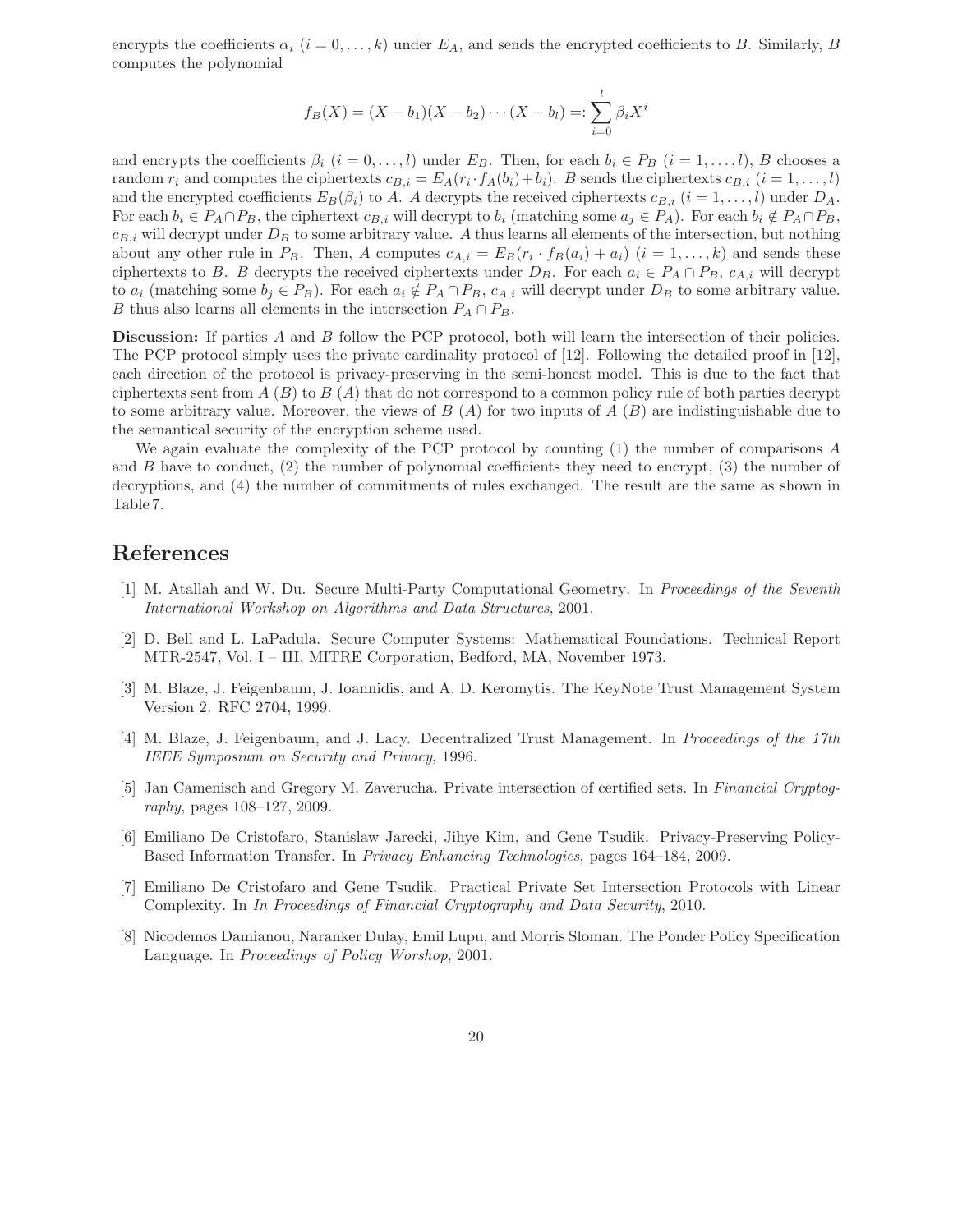encrypts the coefficients  $\alpha_i$  ( $i = 0, \ldots, k$ ) under  $E_A$ , and sends the encrypted coefficients to B. Similarly, B computes the polynomial

$$
f_B(X) = (X - b_1)(X - b_2) \cdots (X - b_l) =: \sum_{i=0}^{l} \beta_i X^i
$$

and encrypts the coefficients  $\beta_i$  ( $i = 0, \ldots, l$ ) under  $E_B$ . Then, for each  $b_i \in P_B$  ( $i = 1, \ldots, l$ ), B chooses a random  $r_i$  and computes the ciphertexts  $c_{B,i} = E_A(r_i \cdot f_A(b_i) + b_i)$ . B sends the ciphertexts  $c_{B,i}$  ( $i = 1, \ldots, l$ ) and the encrypted coefficients  $E_B(\beta_i)$  to A. A decrypts the received ciphertexts  $c_{B,i}$  ( $i = 1, \ldots, l$ ) under  $D_A$ . For each  $b_i \in P_A \cap P_B$ , the ciphertext  $c_{B,i}$  will decrypt to  $b_i$  (matching some  $a_j \in P_A$ ). For each  $b_i \notin P_A \cap P_B$ ,  $c_{B,i}$  will decrypt under  $D_B$  to some arbitrary value. A thus learns all elements of the intersection, but nothing about any other rule in  $P_B$ . Then, A computes  $c_{A,i} = E_B(r_i \cdot f_B(a_i) + a_i)$  ( $i = 1, ..., k$ ) and sends these ciphertexts to *B*. *B* decrypts the received ciphertexts under  $D_B$ . For each  $a_i \in P_A \cap P_B$ ,  $c_{A,i}$  will decrypt to  $a_i$  (matching some  $b_j \in P_B$ ). For each  $a_i \notin P_A \cap P_B$ ,  $c_{A,i}$  will decrypt under  $D_B$  to some arbitrary value. B thus also learns all elements in the intersection  $P_A \cap P_B$ .

**Discussion:** If parties A and B follow the PCP protocol, both will learn the intersection of their policies. The PCP protocol simply uses the private cardinality protocol of [12]. Following the detailed proof in [12], each direction of the protocol is privacy-preserving in the semi-honest model. This is due to the fact that ciphertexts sent from  $A(B)$  to  $B(A)$  that do not correspond to a common policy rule of both parties decrypt to some arbitrary value. Moreover, the views of  $B(A)$  for two inputs of  $A(B)$  are indistinguishable due to the semantical security of the encryption scheme used.

We again evaluate the complexity of the PCP protocol by counting (1) the number of comparisons A and B have to conduct,  $(2)$  the number of polynomial coefficients they need to encrypt,  $(3)$  the number of decryptions, and (4) the number of commitments of rules exchanged. The result are the same as shown in Table 7.

## **References**

- [1] M. Atallah and W. Du. Secure Multi-Party Computational Geometry. In *Proceedings of the Seventh International Workshop on Algorithms and Data Structures*, 2001.
- [2] D. Bell and L. LaPadula. Secure Computer Systems: Mathematical Foundations. Technical Report MTR-2547, Vol. I – III, MITRE Corporation, Bedford, MA, November 1973.
- [3] M. Blaze, J. Feigenbaum, J. Ioannidis, and A. D. Keromytis. The KeyNote Trust Management System Version 2. RFC 2704, 1999.
- [4] M. Blaze, J. Feigenbaum, and J. Lacy. Decentralized Trust Management. In *Proceedings of the 17th IEEE Symposium on Security and Privacy*, 1996.
- [5] Jan Camenisch and Gregory M. Zaverucha. Private intersection of certified sets. In *Financial Cryptography*, pages 108–127, 2009.
- [6] Emiliano De Cristofaro, Stanislaw Jarecki, Jihye Kim, and Gene Tsudik. Privacy-Preserving Policy-Based Information Transfer. In *Privacy Enhancing Technologies*, pages 164–184, 2009.
- [7] Emiliano De Cristofaro and Gene Tsudik. Practical Private Set Intersection Protocols with Linear Complexity. In *In Proceedings of Financial Cryptography and Data Security*, 2010.
- [8] Nicodemos Damianou, Naranker Dulay, Emil Lupu, and Morris Sloman. The Ponder Policy Specification Language. In *Proceedings of Policy Worshop*, 2001.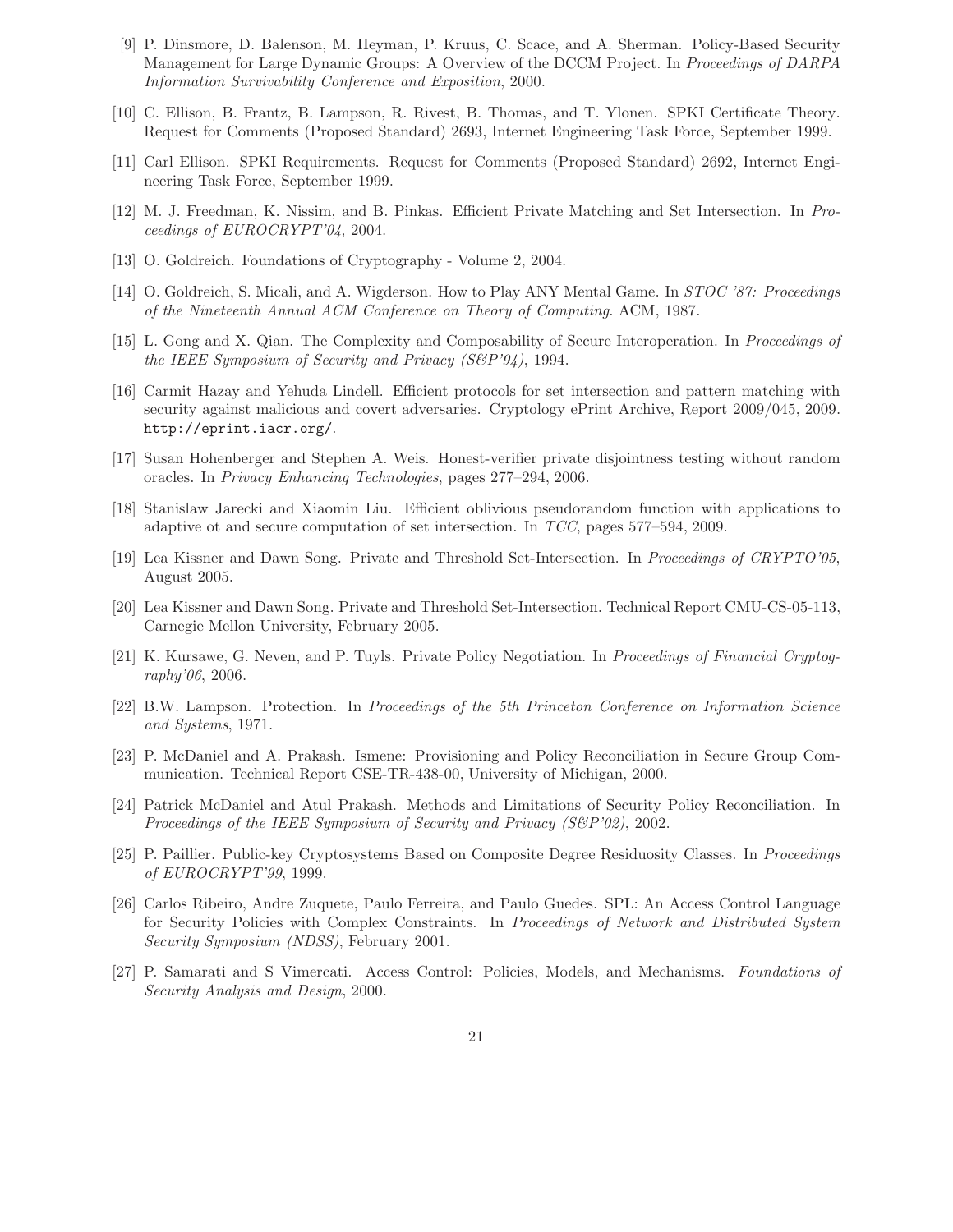- [9] P. Dinsmore, D. Balenson, M. Heyman, P. Kruus, C. Scace, and A. Sherman. Policy-Based Security Management for Large Dynamic Groups: A Overview of the DCCM Project. In *Proceedings of DARPA Information Survivability Conference and Exposition*, 2000.
- [10] C. Ellison, B. Frantz, B. Lampson, R. Rivest, B. Thomas, and T. Ylonen. SPKI Certificate Theory. Request for Comments (Proposed Standard) 2693, Internet Engineering Task Force, September 1999.
- [11] Carl Ellison. SPKI Requirements. Request for Comments (Proposed Standard) 2692, Internet Engineering Task Force, September 1999.
- [12] M. J. Freedman, K. Nissim, and B. Pinkas. Efficient Private Matching and Set Intersection. In *Proceedings of EUROCRYPT'04*, 2004.
- [13] O. Goldreich. Foundations of Cryptography Volume 2, 2004.
- [14] O. Goldreich, S. Micali, and A. Wigderson. How to Play ANY Mental Game. In *STOC '87: Proceedings of the Nineteenth Annual ACM Conference on Theory of Computing*. ACM, 1987.
- [15] L. Gong and X. Qian. The Complexity and Composability of Secure Interoperation. In *Proceedings of the IEEE Symposium of Security and Privacy (S&P'94)*, 1994.
- [16] Carmit Hazay and Yehuda Lindell. Efficient protocols for set intersection and pattern matching with security against malicious and covert adversaries. Cryptology ePrint Archive, Report 2009/045, 2009. http://eprint.iacr.org/.
- [17] Susan Hohenberger and Stephen A. Weis. Honest-verifier private disjointness testing without random oracles. In *Privacy Enhancing Technologies*, pages 277–294, 2006.
- [18] Stanislaw Jarecki and Xiaomin Liu. Efficient oblivious pseudorandom function with applications to adaptive ot and secure computation of set intersection. In *TCC*, pages 577–594, 2009.
- [19] Lea Kissner and Dawn Song. Private and Threshold Set-Intersection. In *Proceedings of CRYPTO'05*, August 2005.
- [20] Lea Kissner and Dawn Song. Private and Threshold Set-Intersection. Technical Report CMU-CS-05-113, Carnegie Mellon University, February 2005.
- [21] K. Kursawe, G. Neven, and P. Tuyls. Private Policy Negotiation. In *Proceedings of Financial Cryptography'06*, 2006.
- [22] B.W. Lampson. Protection. In *Proceedings of the 5th Princeton Conference on Information Science and Systems*, 1971.
- [23] P. McDaniel and A. Prakash. Ismene: Provisioning and Policy Reconciliation in Secure Group Communication. Technical Report CSE-TR-438-00, University of Michigan, 2000.
- [24] Patrick McDaniel and Atul Prakash. Methods and Limitations of Security Policy Reconciliation. In *Proceedings of the IEEE Symposium of Security and Privacy (S&P'02)*, 2002.
- [25] P. Paillier. Public-key Cryptosystems Based on Composite Degree Residuosity Classes. In *Proceedings of EUROCRYPT'99*, 1999.
- [26] Carlos Ribeiro, Andre Zuquete, Paulo Ferreira, and Paulo Guedes. SPL: An Access Control Language for Security Policies with Complex Constraints. In *Proceedings of Network and Distributed System Security Symposium (NDSS)*, February 2001.
- [27] P. Samarati and S Vimercati. Access Control: Policies, Models, and Mechanisms. *Foundations of Security Analysis and Design*, 2000.